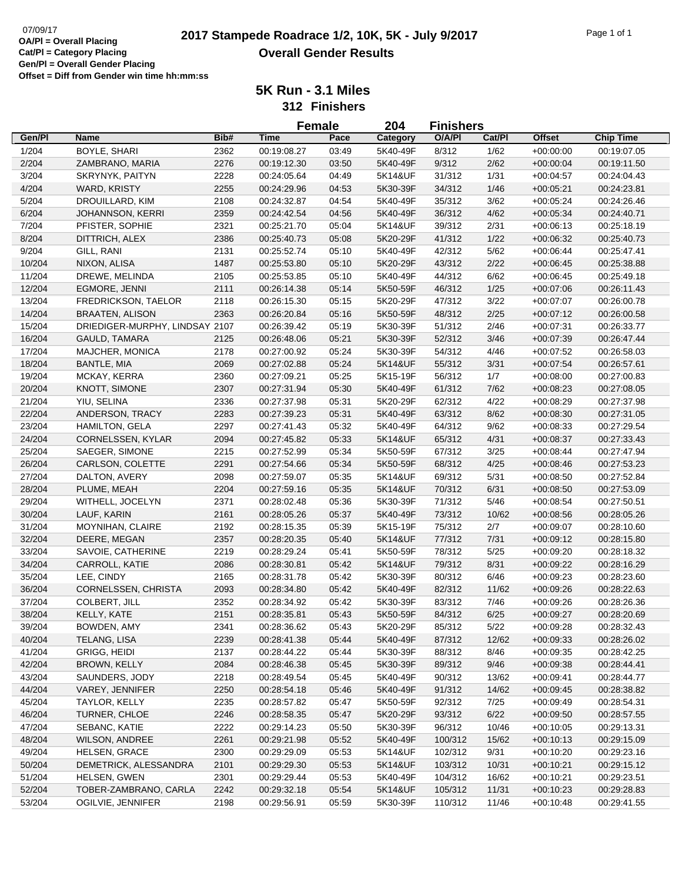# **2017 Stampede Roadrace 1/2, 10K, 5K - July 9/2017** Page 1 of 1 Page 1 of 1 **Overall Gender Results**

|        |                                |      | <b>Female</b> |       | 204      | <b>Finishers</b> |        |               |                  |
|--------|--------------------------------|------|---------------|-------|----------|------------------|--------|---------------|------------------|
| Gen/Pl | Name                           | Bib# | <b>Time</b>   | Pace  | Category | O/A/PI           | Cat/PI | <b>Offset</b> | <b>Chip Time</b> |
| 1/204  | BOYLE, SHARI                   | 2362 | 00:19:08.27   | 03:49 | 5K40-49F | 8/312            | 1/62   | $+00:00:00$   | 00:19:07.05      |
| 2/204  | ZAMBRANO, MARIA                | 2276 | 00:19:12.30   | 03:50 | 5K40-49F | 9/312            | 2/62   | $+00:00:04$   | 00:19:11.50      |
| 3/204  | SKRYNYK, PAITYN                | 2228 | 00:24:05.64   | 04:49 | 5K14&UF  | 31/312           | 1/31   | $+00:04:57$   | 00:24:04.43      |
| 4/204  | WARD, KRISTY                   | 2255 | 00:24:29.96   | 04:53 | 5K30-39F | 34/312           | 1/46   | $+00:05:21$   | 00:24:23.81      |
| 5/204  | DROUILLARD, KIM                | 2108 | 00:24:32.87   | 04:54 | 5K40-49F | 35/312           | 3/62   | $+00:05:24$   | 00:24:26.46      |
| 6/204  | <b>JOHANNSON, KERRI</b>        | 2359 | 00:24:42.54   | 04:56 | 5K40-49F | 36/312           | 4/62   | $+00:05:34$   | 00:24:40.71      |
| 7/204  | PFISTER, SOPHIE                | 2321 | 00:25:21.70   | 05:04 | 5K14&UF  | 39/312           | 2/31   | $+00:06:13$   | 00:25:18.19      |
| 8/204  | DITTRICH, ALEX                 | 2386 | 00:25:40.73   | 05:08 | 5K20-29F | 41/312           | 1/22   | $+00:06:32$   | 00:25:40.73      |
| 9/204  | GILL, RANI                     | 2131 | 00:25:52.74   | 05:10 | 5K40-49F | 42/312           | 5/62   | $+00:06:44$   | 00:25:47.41      |
| 10/204 | NIXON, ALISA                   | 1487 | 00:25:53.80   | 05:10 | 5K20-29F | 43/312           | 2/22   | $+00:06:45$   | 00:25:38.88      |
| 11/204 | DREWE, MELINDA                 | 2105 | 00:25:53.85   | 05:10 | 5K40-49F | 44/312           | 6/62   | $+00:06:45$   | 00:25:49.18      |
| 12/204 | <b>EGMORE, JENNI</b>           | 2111 | 00:26:14.38   | 05:14 | 5K50-59F | 46/312           | 1/25   | $+00:07:06$   | 00:26:11.43      |
| 13/204 | FREDRICKSON, TAELOR            | 2118 | 00:26:15.30   | 05:15 | 5K20-29F | 47/312           | 3/22   | $+00:07:07$   | 00:26:00.78      |
| 14/204 | <b>BRAATEN, ALISON</b>         | 2363 | 00:26:20.84   | 05:16 | 5K50-59F | 48/312           | 2/25   | $+00:07:12$   | 00:26:00.58      |
| 15/204 | DRIEDIGER-MURPHY, LINDSAY 2107 |      | 00:26:39.42   | 05:19 | 5K30-39F | 51/312           | 2/46   | $+00:07:31$   | 00:26:33.77      |
| 16/204 | <b>GAULD, TAMARA</b>           | 2125 | 00:26:48.06   | 05:21 | 5K30-39F | 52/312           | 3/46   | $+00:07:39$   | 00:26:47.44      |
| 17/204 | MAJCHER, MONICA                | 2178 | 00:27:00.92   | 05:24 | 5K30-39F | 54/312           | 4/46   | $+00:07:52$   | 00:26:58.03      |
| 18/204 | <b>BANTLE, MIA</b>             | 2069 | 00:27:02.88   | 05:24 | 5K14&UF  | 55/312           | 3/31   | $+00:07:54$   | 00:26:57.61      |
| 19/204 | MCKAY, KERRA                   | 2360 | 00:27:09.21   | 05:25 | 5K15-19F | 56/312           | 1/7    | $+00:08:00$   | 00:27:00.83      |
| 20/204 | KNOTT, SIMONE                  | 2307 | 00:27:31.94   | 05:30 | 5K40-49F | 61/312           | 7/62   |               | 00:27:08.05      |
| 21/204 | YIU, SELINA                    | 2336 | 00:27:37.98   | 05:31 | 5K20-29F | 62/312           | 4/22   | $+00:08:23$   |                  |
|        | ANDERSON, TRACY                |      | 00:27:39.23   |       |          |                  |        | $+00:08:29$   | 00:27:37.98      |
| 22/204 |                                | 2283 |               | 05:31 | 5K40-49F | 63/312           | 8/62   | $+00:08:30$   | 00:27:31.05      |
| 23/204 | <b>HAMILTON, GELA</b>          | 2297 | 00:27:41.43   | 05:32 | 5K40-49F | 64/312           | 9/62   | $+00:08:33$   | 00:27:29.54      |
| 24/204 | CORNELSSEN, KYLAR              | 2094 | 00:27:45.82   | 05:33 | 5K14&UF  | 65/312           | 4/31   | $+00:08:37$   | 00:27:33.43      |
| 25/204 | SAEGER, SIMONE                 | 2215 | 00:27:52.99   | 05:34 | 5K50-59F | 67/312           | 3/25   | $+00:08:44$   | 00:27:47.94      |
| 26/204 | CARLSON, COLETTE               | 2291 | 00:27:54.66   | 05:34 | 5K50-59F | 68/312           | 4/25   | $+00:08:46$   | 00:27:53.23      |
| 27/204 | DALTON, AVERY                  | 2098 | 00:27:59.07   | 05:35 | 5K14&UF  | 69/312           | 5/31   | $+00:08:50$   | 00:27:52.84      |
| 28/204 | PLUME, MEAH                    | 2204 | 00:27:59.16   | 05:35 | 5K14&UF  | 70/312           | 6/31   | $+00:08:50$   | 00:27:53.09      |
| 29/204 | WITHELL, JOCELYN               | 2371 | 00:28:02.48   | 05:36 | 5K30-39F | 71/312           | 5/46   | $+00:08:54$   | 00:27:50.51      |
| 30/204 | LAUF, KARIN                    | 2161 | 00:28:05.26   | 05:37 | 5K40-49F | 73/312           | 10/62  | $+00:08:56$   | 00:28:05.26      |
| 31/204 | MOYNIHAN, CLAIRE               | 2192 | 00:28:15.35   | 05:39 | 5K15-19F | 75/312           | 2/7    | $+00:09:07$   | 00:28:10.60      |
| 32/204 | DEERE, MEGAN                   | 2357 | 00:28:20.35   | 05:40 | 5K14&UF  | 77/312           | 7/31   | $+00:09:12$   | 00:28:15.80      |
| 33/204 | SAVOIE, CATHERINE              | 2219 | 00:28:29.24   | 05:41 | 5K50-59F | 78/312           | 5/25   | $+00:09:20$   | 00:28:18.32      |
| 34/204 | CARROLL, KATIE                 | 2086 | 00:28:30.81   | 05:42 | 5K14&UF  | 79/312           | 8/31   | $+00:09:22$   | 00:28:16.29      |
| 35/204 | LEE, CINDY                     | 2165 | 00:28:31.78   | 05:42 | 5K30-39F | 80/312           | 6/46   | $+00:09:23$   | 00:28:23.60      |
| 36/204 | CORNELSSEN, CHRISTA            | 2093 | 00:28:34.80   | 05:42 | 5K40-49F | 82/312           | 11/62  | $+00:09:26$   | 00:28:22.63      |
| 37/204 | COLBERT, JILL                  | 2352 | 00:28:34.92   | 05:42 | 5K30-39F | 83/312           | 7/46   | $+00:09:26$   | 00:28:26.36      |
| 38/204 | KELLY, KATE                    | 2151 | 00:28:35.81   | 05:43 | 5K50-59F | 84/312           | 6/25   | $+00:09:27$   | 00:28:20.69      |
| 39/204 | BOWDEN, AMY                    | 2341 | 00:28:36.62   | 05:43 | 5K20-29F | 85/312           | 5/22   | $+00:09:28$   | 00:28:32.43      |
| 40/204 | TELANG, LISA                   | 2239 | 00:28:41.38   | 05:44 | 5K40-49F | 87/312           | 12/62  | $+00.09.33$   | 00:28:26.02      |
| 41/204 | GRIGG, HEIDI                   | 2137 | 00:28:44.22   | 05:44 | 5K30-39F | 88/312           | 8/46   | $+00:09:35$   | 00:28:42.25      |
| 42/204 | <b>BROWN, KELLY</b>            | 2084 | 00:28:46.38   | 05:45 | 5K30-39F | 89/312           | 9/46   | $+00:09:38$   | 00:28:44.41      |
| 43/204 | SAUNDERS, JODY                 | 2218 | 00:28:49.54   | 05:45 | 5K40-49F | 90/312           | 13/62  | $+00:09:41$   | 00:28:44.77      |
| 44/204 | VAREY, JENNIFER                | 2250 | 00:28:54.18   | 05:46 | 5K40-49F | 91/312           | 14/62  | $+00:09:45$   | 00:28:38.82      |
| 45/204 | TAYLOR, KELLY                  | 2235 | 00:28:57.82   | 05:47 | 5K50-59F | 92/312           | 7/25   | $+00.09:49$   | 00:28:54.31      |
| 46/204 | TURNER, CHLOE                  | 2246 | 00:28:58.35   | 05:47 | 5K20-29F | 93/312           | 6/22   | $+00:09:50$   | 00:28:57.55      |
| 47/204 | SEBANC, KATIE                  | 2222 | 00:29:14.23   | 05:50 | 5K30-39F | 96/312           | 10/46  | $+00:10:05$   | 00:29:13.31      |
| 48/204 | <b>WILSON, ANDREE</b>          | 2261 | 00:29:21.98   | 05:52 | 5K40-49F | 100/312          | 15/62  | $+00.10.13$   | 00:29:15.09      |
| 49/204 | <b>HELSEN, GRACE</b>           | 2300 | 00:29:29.09   | 05:53 | 5K14&UF  | 102/312          | 9/31   | $+00:10:20$   | 00:29:23.16      |
| 50/204 | DEMETRICK, ALESSANDRA          | 2101 | 00:29:29.30   | 05:53 | 5K14&UF  | 103/312          | 10/31  | $+00:10:21$   | 00:29:15.12      |
| 51/204 | HELSEN, GWEN                   | 2301 | 00:29:29.44   | 05:53 | 5K40-49F | 104/312          | 16/62  | $+00:10:21$   | 00:29:23.51      |
| 52/204 | TOBER-ZAMBRANO, CARLA          | 2242 | 00:29:32.18   | 05:54 | 5K14&UF  | 105/312          | 11/31  | $+00:10:23$   | 00:29:28.83      |
| 53/204 | OGILVIE, JENNIFER              | 2198 | 00:29:56.91   | 05:59 | 5K30-39F | 110/312          | 11/46  | $+00:10:48$   | 00:29:41.55      |
|        |                                |      |               |       |          |                  |        |               |                  |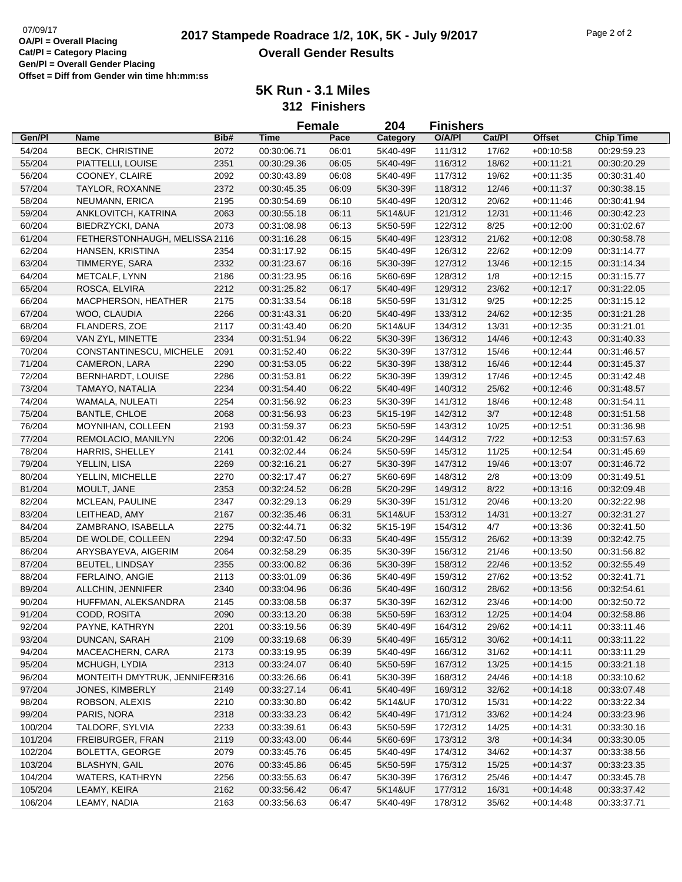| Gen/Pl<br>Bib#<br>O/A/PI<br>Cat/Pl<br><b>Offset</b><br><b>Chip Time</b><br><b>Name</b><br><b>Time</b><br>Pace<br>Category<br>54/204<br><b>BECK, CHRISTINE</b><br>2072<br>06:01<br>5K40-49F<br>111/312<br>17/62<br>$+00:10:58$<br>00:30:06.71<br>00:29:59.23<br>55/204<br>PIATTELLI, LOUISE<br>2351<br>00:30:29.36<br>06:05<br>5K40-49F<br>116/312<br>18/62<br>$+00:11:21$<br>00:30:20.29<br>56/204<br>COONEY, CLAIRE<br>2092<br>06:08<br>5K40-49F<br>117/312<br>19/62<br>$+00:11:35$<br>00:30:43.89<br>00:30:31.40<br>57/204<br>TAYLOR, ROXANNE<br>2372<br>00:30:45.35<br>06:09<br>5K30-39F<br>118/312<br>12/46<br>$+00:11:37$<br>00:30:38.15<br>58/204<br>NEUMANN, ERICA<br>2195<br>5K40-49F<br>120/312<br>20/62<br>$+00:11:46$<br>00:30:54.69<br>06:10<br>00:30:41.94<br>59/204<br>121/312<br>ANKLOVITCH, KATRINA<br>2063<br>00:30:55.18<br>06:11<br>5K14&UF<br>12/31<br>$+00:11:46$<br>00:30:42.23<br>2073<br>60/204<br>BIEDRZYCKI, DANA<br>00:31:08.98<br>06:13<br>5K50-59F<br>122/312<br>8/25<br>$+00:12:00$<br>00:31:02.67<br>5K40-49F<br>61/204<br>FETHERSTONHAUGH, MELISSA 2116<br>00:31:16.28<br>06:15<br>123/312<br>21/62<br>$+00:12:08$<br>00:30:58.78<br>62/204<br>HANSEN, KRISTINA<br>2354<br>06:15<br>5K40-49F<br>126/312<br>22/62<br>$+00:12:09$<br>00:31:17.92<br>00:31:14.77<br>63/204<br>TIMMERYE, SARA<br>2332<br>00:31:23.67<br>06:16<br>5K30-39F<br>127/312<br>13/46<br>$+00:12:15$<br>00:31:14.34<br>64/204<br>METCALF, LYNN<br>2186<br>06:16<br>5K60-69F<br>128/312<br>1/8<br>$+00:12:15$<br>00:31:23.95<br>00:31:15.77<br>ROSCA, ELVIRA<br>2212<br>65/204<br>00:31:25.82<br>06:17<br>5K40-49F<br>129/312<br>23/62<br>$+00:12:17$<br>00:31:22.05<br>66/204<br>2175<br>9/25<br>MACPHERSON, HEATHER<br>00:31:33.54<br>06:18<br>5K50-59F<br>131/312<br>$+00:12:25$<br>00:31:15.12<br>67/204<br>133/312<br>24/62<br>WOO, CLAUDIA<br>2266<br>00:31:43.31<br>06:20<br>5K40-49F<br>$+00:12:35$<br>00:31:21.28<br>68/204<br>FLANDERS, ZOE<br>2117<br>00:31:43.40<br>06:20<br>5K14&UF<br>134/312<br>13/31<br>$+00:12:35$<br>00:31:21.01<br>69/204<br>VAN ZYL, MINETTE<br>2334<br>00:31:51.94<br>06:22<br>5K30-39F<br>136/312<br>14/46<br>$+00:12:43$<br>00:31:40.33<br>70/204<br>CONSTANTINESCU, MICHELE<br>2091<br>06:22<br>5K30-39F<br>137/312<br>15/46<br>$+00:12:44$<br>00:31:52.40<br>00:31:46.57<br>71/204<br>CAMERON, LARA<br>2290<br>00:31:53.05<br>06:22<br>5K30-39F<br>138/312<br>16/46<br>$+00:12:44$<br>00:31:45.37<br>72/204<br>06:22<br>17/46<br>BERNHARDT, LOUISE<br>2286<br>00:31:53.81<br>5K30-39F<br>139/312<br>$+00:12:45$<br>00:31:42.48<br>73/204<br>2234<br>06:22<br>TAMAYO, NATALIA<br>5K40-49F<br>140/312<br>25/62<br>$+00:12:46$<br>00:31:54.40<br>00:31:48.57<br>74/204<br>WAMALA, NULEATI<br>2254<br>00:31:56.92<br>06:23<br>5K30-39F<br>141/312<br>18/46<br>$+00:12:48$<br>00:31:54.11<br>75/204<br>$3/7$<br><b>BANTLE, CHLOE</b><br>2068<br>00:31:56.93<br>06:23<br>5K15-19F<br>142/312<br>$+00:12:48$<br>00:31:51.58<br>76/204<br>MOYNIHAN, COLLEEN<br>2193<br>00:31:59.37<br>06:23<br>5K50-59F<br>143/312<br>10/25<br>$+00:12:51$<br>00:31:36.98<br>5K20-29F<br>$7/22$<br>77/204<br>REMOLACIO, MANILYN<br>2206<br>00:32:01.42<br>06:24<br>144/312<br>$+00:12:53$<br>00:31:57.63<br>78/204<br><b>HARRIS, SHELLEY</b><br>2141<br>00:32:02.44<br>06:24<br>5K50-59F<br>145/312<br>11/25<br>$+00:12:54$<br>00:31:45.69<br>79/204<br>2269<br>06:27<br>147/312<br>YELLIN, LISA<br>00:32:16.21<br>5K30-39F<br>19/46<br>$+00:13:07$<br>00:31:46.72<br>80/204<br>2270<br>06:27<br>2/8<br>YELLIN, MICHELLE<br>00:32:17.47<br>5K60-69F<br>148/312<br>$+00:13:09$<br>00:31:49.51<br>2353<br>8/22<br>81/204<br>MOULT, JANE<br>00:32:24.52<br>06:28<br>5K20-29F<br>149/312<br>$+00:13:16$<br>00:32:09.48<br>82/204<br>MCLEAN, PAULINE<br>2347<br>00:32:29.13<br>06:29<br>5K30-39F<br>151/312<br>20/46<br>$+00:13:20$<br>00:32:22.98<br>83/204<br>2167<br>LEITHEAD, AMY<br>00:32:35.46<br>06:31<br>5K14&UF<br>153/312<br>14/31<br>$+00:13:27$<br>00:32:31.27<br>84/204<br>2275<br>5K15-19F<br>4/7<br>ZAMBRANO, ISABELLA<br>00:32:44.71<br>06:32<br>154/312<br>$+00:13:36$<br>00:32:41.50<br>85/204<br>2294<br>5K40-49F<br>26/62<br>DE WOLDE, COLLEEN<br>00:32:47.50<br>06:33<br>155/312<br>$+00:13:39$<br>00:32:42.75<br>86/204<br>ARYSBAYEVA, AIGERIM<br>2064<br>00:32:58.29<br>06:35<br>5K30-39F<br>156/312<br>21/46<br>$+00:13:50$<br>00:31:56.82<br>87/204<br>2355<br><b>BEUTEL, LINDSAY</b><br>00:33:00.82<br>06:36<br>5K30-39F<br>158/312<br>22/46<br>$+00:13:52$<br>00:32:55.49<br>88/204<br>FERLAINO, ANGIE<br>2113<br>00:33:01.09<br>06:36<br>5K40-49F<br>159/312<br>27/62<br>$+00:13:52$<br>00:32:41.71<br>89/204<br>ALLCHIN, JENNIFER<br>2340<br>06:36<br>5K40-49F<br>160/312<br>28/62<br>$+00:13:56$<br>00:32:54.61<br>00:33:04.96<br>90/204<br>HUFFMAN, ALEKSANDRA<br>2145<br>00:33:08.58<br>06:37<br>5K30-39F<br>162/312<br>23/46<br>$+00:14:00$<br>00:32:50.72<br>91/204<br>CODD, ROSITA<br>2090<br>06:38<br>5K50-59F<br>163/312<br>12/25<br>00:33:13.20<br>$+00:14:04$<br>00:32:58.86<br>92/204<br>PAYNE, KATHRYN<br>2201<br>00:33:19.56<br>06:39<br>5K40-49F<br>164/312<br>$+00:14:11$<br>00:33:11.46<br>29/62<br>93/204<br>DUNCAN, SARAH<br>2109<br>00:33:19.68<br>06:39<br>5K40-49F<br>165/312<br>30/62<br>$+00:14:11$<br>00:33:11.22<br>94/204<br>MACEACHERN, CARA<br>2173<br>00:33:19.95<br>06:39<br>5K40-49F<br>166/312<br>31/62<br>$+00:14:11$<br>00:33:11.29<br>95/204<br>MCHUGH, LYDIA<br>2313<br>00:33:24.07<br>06:40<br>5K50-59F<br>167/312<br>13/25<br>00:33:21.18<br>$+00.14.15$<br>96/204<br>MONTEITH DMYTRUK, JENNIFER2316<br>00:33:26.66<br>06:41<br>5K30-39F<br>168/312<br>24/46<br>$+00:14:18$<br>00:33:10.62<br>97/204<br>JONES, KIMBERLY<br>06:41<br>5K40-49F<br>169/312<br>32/62<br>2149<br>00:33:27.14<br>$+00:14:18$<br>00:33:07.48<br>98/204<br>ROBSON, ALEXIS<br>2210<br>06:42<br>5K14&UF<br>170/312<br>15/31<br>$+00:14:22$<br>00:33:22.34<br>00:33:30.80<br>99/204<br>PARIS, NORA<br>2318<br>00:33:33.23<br>06:42<br>5K40-49F<br>171/312<br>33/62<br>$+00:14:24$<br>00:33:23.96<br>100/204<br>TALDORF, SYLVIA<br>2233<br>00:33:39.61<br>06:43<br>5K50-59F<br>172/312<br>14/25<br>$+00:14:31$<br>00:33:30.16<br>101/204<br>5K60-69F<br>173/312<br>3/8<br>FREIBURGER, FRAN<br>2119<br>00:33:43.00<br>06:44<br>$+00:14:34$<br>00:33:30.05<br>102/204<br><b>BOLETTA, GEORGE</b><br>2079<br>00:33:45.76<br>06:45<br>5K40-49F<br>174/312<br>34/62<br>$+00:14:37$<br>00:33:38.56<br>103/204<br><b>BLASHYN, GAIL</b><br>2076<br>00:33:45.86<br>175/312<br>15/25<br>06:45<br>5K50-59F<br>$+00:14:37$<br>00:33:23.35<br>104/204<br><b>WATERS, KATHRYN</b><br>2256<br>00:33:55.63<br>06:47<br>5K30-39F<br>176/312<br>25/46<br>$+00:14:47$<br>00:33:45.78<br>105/204<br>LEAMY, KEIRA<br>2162<br>00:33:56.42<br>06:47<br>5K14&UF<br>177/312<br>16/31<br>$+00:14:48$<br>00:33:37.42<br>106/204<br>35/62<br>06:47<br>5K40-49F<br>178/312<br>$+00:14:48$ |              |      | <b>Female</b> |  | 204 | <b>Finishers</b> |  |             |
|------------------------------------------------------------------------------------------------------------------------------------------------------------------------------------------------------------------------------------------------------------------------------------------------------------------------------------------------------------------------------------------------------------------------------------------------------------------------------------------------------------------------------------------------------------------------------------------------------------------------------------------------------------------------------------------------------------------------------------------------------------------------------------------------------------------------------------------------------------------------------------------------------------------------------------------------------------------------------------------------------------------------------------------------------------------------------------------------------------------------------------------------------------------------------------------------------------------------------------------------------------------------------------------------------------------------------------------------------------------------------------------------------------------------------------------------------------------------------------------------------------------------------------------------------------------------------------------------------------------------------------------------------------------------------------------------------------------------------------------------------------------------------------------------------------------------------------------------------------------------------------------------------------------------------------------------------------------------------------------------------------------------------------------------------------------------------------------------------------------------------------------------------------------------------------------------------------------------------------------------------------------------------------------------------------------------------------------------------------------------------------------------------------------------------------------------------------------------------------------------------------------------------------------------------------------------------------------------------------------------------------------------------------------------------------------------------------------------------------------------------------------------------------------------------------------------------------------------------------------------------------------------------------------------------------------------------------------------------------------------------------------------------------------------------------------------------------------------------------------------------------------------------------------------------------------------------------------------------------------------------------------------------------------------------------------------------------------------------------------------------------------------------------------------------------------------------------------------------------------------------------------------------------------------------------------------------------------------------------------------------------------------------------------------------------------------------------------------------------------------------------------------------------------------------------------------------------------------------------------------------------------------------------------------------------------------------------------------------------------------------------------------------------------------------------------------------------------------------------------------------------------------------------------------------------------------------------------------------------------------------------------------------------------------------------------------------------------------------------------------------------------------------------------------------------------------------------------------------------------------------------------------------------------------------------------------------------------------------------------------------------------------------------------------------------------------------------------------------------------------------------------------------------------------------------------------------------------------------------------------------------------------------------------------------------------------------------------------------------------------------------------------------------------------------------------------------------------------------------------------------------------------------------------------------------------------------------------------------------------------------------------------------------------------------------------------------------------------------------------------------------------------------------------------------------------------------------------------------------------------------------------------------------------------------------------------------------------------------------------------------------------------------------------------------------------------------------------------------------------------------------------------------------------------------------------------------------------------------------------------------------------------------------------------------------------------------------------------------------------------------------------------------------------------------------------------------------------------------------------------------------------------------------------------------------------------------------------------------------------------------------------------------------------------------------------------------------------------------------------------------------------------------------------------------------------------------------------------------------------------------------------------------------------------------------------------------------------------------------------------------------------------------------------------------------------------------------------------------------------------------------------------------------------------------------------------------------------------------------------------------------------------------------------|--------------|------|---------------|--|-----|------------------|--|-------------|
|                                                                                                                                                                                                                                                                                                                                                                                                                                                                                                                                                                                                                                                                                                                                                                                                                                                                                                                                                                                                                                                                                                                                                                                                                                                                                                                                                                                                                                                                                                                                                                                                                                                                                                                                                                                                                                                                                                                                                                                                                                                                                                                                                                                                                                                                                                                                                                                                                                                                                                                                                                                                                                                                                                                                                                                                                                                                                                                                                                                                                                                                                                                                                                                                                                                                                                                                                                                                                                                                                                                                                                                                                                                                                                                                                                                                                                                                                                                                                                                                                                                                                                                                                                                                                                                                                                                                                                                                                                                                                                                                                                                                                                                                                                                                                                                                                                                                                                                                                                                                                                                                                                                                                                                                                                                                                                                                                                                                                                                                                                                                                                                                                                                                                                                                                                                                                                                                                                                                                                                                                                                                                                                                                                                                                                                                                                                                                                                                                                                                                                                                                                                                                                                                                                                                                                                                                                                                                                                  |              |      |               |  |     |                  |  |             |
|                                                                                                                                                                                                                                                                                                                                                                                                                                                                                                                                                                                                                                                                                                                                                                                                                                                                                                                                                                                                                                                                                                                                                                                                                                                                                                                                                                                                                                                                                                                                                                                                                                                                                                                                                                                                                                                                                                                                                                                                                                                                                                                                                                                                                                                                                                                                                                                                                                                                                                                                                                                                                                                                                                                                                                                                                                                                                                                                                                                                                                                                                                                                                                                                                                                                                                                                                                                                                                                                                                                                                                                                                                                                                                                                                                                                                                                                                                                                                                                                                                                                                                                                                                                                                                                                                                                                                                                                                                                                                                                                                                                                                                                                                                                                                                                                                                                                                                                                                                                                                                                                                                                                                                                                                                                                                                                                                                                                                                                                                                                                                                                                                                                                                                                                                                                                                                                                                                                                                                                                                                                                                                                                                                                                                                                                                                                                                                                                                                                                                                                                                                                                                                                                                                                                                                                                                                                                                                                  |              |      |               |  |     |                  |  |             |
|                                                                                                                                                                                                                                                                                                                                                                                                                                                                                                                                                                                                                                                                                                                                                                                                                                                                                                                                                                                                                                                                                                                                                                                                                                                                                                                                                                                                                                                                                                                                                                                                                                                                                                                                                                                                                                                                                                                                                                                                                                                                                                                                                                                                                                                                                                                                                                                                                                                                                                                                                                                                                                                                                                                                                                                                                                                                                                                                                                                                                                                                                                                                                                                                                                                                                                                                                                                                                                                                                                                                                                                                                                                                                                                                                                                                                                                                                                                                                                                                                                                                                                                                                                                                                                                                                                                                                                                                                                                                                                                                                                                                                                                                                                                                                                                                                                                                                                                                                                                                                                                                                                                                                                                                                                                                                                                                                                                                                                                                                                                                                                                                                                                                                                                                                                                                                                                                                                                                                                                                                                                                                                                                                                                                                                                                                                                                                                                                                                                                                                                                                                                                                                                                                                                                                                                                                                                                                                                  |              |      |               |  |     |                  |  |             |
|                                                                                                                                                                                                                                                                                                                                                                                                                                                                                                                                                                                                                                                                                                                                                                                                                                                                                                                                                                                                                                                                                                                                                                                                                                                                                                                                                                                                                                                                                                                                                                                                                                                                                                                                                                                                                                                                                                                                                                                                                                                                                                                                                                                                                                                                                                                                                                                                                                                                                                                                                                                                                                                                                                                                                                                                                                                                                                                                                                                                                                                                                                                                                                                                                                                                                                                                                                                                                                                                                                                                                                                                                                                                                                                                                                                                                                                                                                                                                                                                                                                                                                                                                                                                                                                                                                                                                                                                                                                                                                                                                                                                                                                                                                                                                                                                                                                                                                                                                                                                                                                                                                                                                                                                                                                                                                                                                                                                                                                                                                                                                                                                                                                                                                                                                                                                                                                                                                                                                                                                                                                                                                                                                                                                                                                                                                                                                                                                                                                                                                                                                                                                                                                                                                                                                                                                                                                                                                                  |              |      |               |  |     |                  |  |             |
|                                                                                                                                                                                                                                                                                                                                                                                                                                                                                                                                                                                                                                                                                                                                                                                                                                                                                                                                                                                                                                                                                                                                                                                                                                                                                                                                                                                                                                                                                                                                                                                                                                                                                                                                                                                                                                                                                                                                                                                                                                                                                                                                                                                                                                                                                                                                                                                                                                                                                                                                                                                                                                                                                                                                                                                                                                                                                                                                                                                                                                                                                                                                                                                                                                                                                                                                                                                                                                                                                                                                                                                                                                                                                                                                                                                                                                                                                                                                                                                                                                                                                                                                                                                                                                                                                                                                                                                                                                                                                                                                                                                                                                                                                                                                                                                                                                                                                                                                                                                                                                                                                                                                                                                                                                                                                                                                                                                                                                                                                                                                                                                                                                                                                                                                                                                                                                                                                                                                                                                                                                                                                                                                                                                                                                                                                                                                                                                                                                                                                                                                                                                                                                                                                                                                                                                                                                                                                                                  |              |      |               |  |     |                  |  |             |
|                                                                                                                                                                                                                                                                                                                                                                                                                                                                                                                                                                                                                                                                                                                                                                                                                                                                                                                                                                                                                                                                                                                                                                                                                                                                                                                                                                                                                                                                                                                                                                                                                                                                                                                                                                                                                                                                                                                                                                                                                                                                                                                                                                                                                                                                                                                                                                                                                                                                                                                                                                                                                                                                                                                                                                                                                                                                                                                                                                                                                                                                                                                                                                                                                                                                                                                                                                                                                                                                                                                                                                                                                                                                                                                                                                                                                                                                                                                                                                                                                                                                                                                                                                                                                                                                                                                                                                                                                                                                                                                                                                                                                                                                                                                                                                                                                                                                                                                                                                                                                                                                                                                                                                                                                                                                                                                                                                                                                                                                                                                                                                                                                                                                                                                                                                                                                                                                                                                                                                                                                                                                                                                                                                                                                                                                                                                                                                                                                                                                                                                                                                                                                                                                                                                                                                                                                                                                                                                  |              |      |               |  |     |                  |  |             |
|                                                                                                                                                                                                                                                                                                                                                                                                                                                                                                                                                                                                                                                                                                                                                                                                                                                                                                                                                                                                                                                                                                                                                                                                                                                                                                                                                                                                                                                                                                                                                                                                                                                                                                                                                                                                                                                                                                                                                                                                                                                                                                                                                                                                                                                                                                                                                                                                                                                                                                                                                                                                                                                                                                                                                                                                                                                                                                                                                                                                                                                                                                                                                                                                                                                                                                                                                                                                                                                                                                                                                                                                                                                                                                                                                                                                                                                                                                                                                                                                                                                                                                                                                                                                                                                                                                                                                                                                                                                                                                                                                                                                                                                                                                                                                                                                                                                                                                                                                                                                                                                                                                                                                                                                                                                                                                                                                                                                                                                                                                                                                                                                                                                                                                                                                                                                                                                                                                                                                                                                                                                                                                                                                                                                                                                                                                                                                                                                                                                                                                                                                                                                                                                                                                                                                                                                                                                                                                                  |              |      |               |  |     |                  |  |             |
|                                                                                                                                                                                                                                                                                                                                                                                                                                                                                                                                                                                                                                                                                                                                                                                                                                                                                                                                                                                                                                                                                                                                                                                                                                                                                                                                                                                                                                                                                                                                                                                                                                                                                                                                                                                                                                                                                                                                                                                                                                                                                                                                                                                                                                                                                                                                                                                                                                                                                                                                                                                                                                                                                                                                                                                                                                                                                                                                                                                                                                                                                                                                                                                                                                                                                                                                                                                                                                                                                                                                                                                                                                                                                                                                                                                                                                                                                                                                                                                                                                                                                                                                                                                                                                                                                                                                                                                                                                                                                                                                                                                                                                                                                                                                                                                                                                                                                                                                                                                                                                                                                                                                                                                                                                                                                                                                                                                                                                                                                                                                                                                                                                                                                                                                                                                                                                                                                                                                                                                                                                                                                                                                                                                                                                                                                                                                                                                                                                                                                                                                                                                                                                                                                                                                                                                                                                                                                                                  |              |      |               |  |     |                  |  |             |
|                                                                                                                                                                                                                                                                                                                                                                                                                                                                                                                                                                                                                                                                                                                                                                                                                                                                                                                                                                                                                                                                                                                                                                                                                                                                                                                                                                                                                                                                                                                                                                                                                                                                                                                                                                                                                                                                                                                                                                                                                                                                                                                                                                                                                                                                                                                                                                                                                                                                                                                                                                                                                                                                                                                                                                                                                                                                                                                                                                                                                                                                                                                                                                                                                                                                                                                                                                                                                                                                                                                                                                                                                                                                                                                                                                                                                                                                                                                                                                                                                                                                                                                                                                                                                                                                                                                                                                                                                                                                                                                                                                                                                                                                                                                                                                                                                                                                                                                                                                                                                                                                                                                                                                                                                                                                                                                                                                                                                                                                                                                                                                                                                                                                                                                                                                                                                                                                                                                                                                                                                                                                                                                                                                                                                                                                                                                                                                                                                                                                                                                                                                                                                                                                                                                                                                                                                                                                                                                  |              |      |               |  |     |                  |  |             |
|                                                                                                                                                                                                                                                                                                                                                                                                                                                                                                                                                                                                                                                                                                                                                                                                                                                                                                                                                                                                                                                                                                                                                                                                                                                                                                                                                                                                                                                                                                                                                                                                                                                                                                                                                                                                                                                                                                                                                                                                                                                                                                                                                                                                                                                                                                                                                                                                                                                                                                                                                                                                                                                                                                                                                                                                                                                                                                                                                                                                                                                                                                                                                                                                                                                                                                                                                                                                                                                                                                                                                                                                                                                                                                                                                                                                                                                                                                                                                                                                                                                                                                                                                                                                                                                                                                                                                                                                                                                                                                                                                                                                                                                                                                                                                                                                                                                                                                                                                                                                                                                                                                                                                                                                                                                                                                                                                                                                                                                                                                                                                                                                                                                                                                                                                                                                                                                                                                                                                                                                                                                                                                                                                                                                                                                                                                                                                                                                                                                                                                                                                                                                                                                                                                                                                                                                                                                                                                                  |              |      |               |  |     |                  |  |             |
|                                                                                                                                                                                                                                                                                                                                                                                                                                                                                                                                                                                                                                                                                                                                                                                                                                                                                                                                                                                                                                                                                                                                                                                                                                                                                                                                                                                                                                                                                                                                                                                                                                                                                                                                                                                                                                                                                                                                                                                                                                                                                                                                                                                                                                                                                                                                                                                                                                                                                                                                                                                                                                                                                                                                                                                                                                                                                                                                                                                                                                                                                                                                                                                                                                                                                                                                                                                                                                                                                                                                                                                                                                                                                                                                                                                                                                                                                                                                                                                                                                                                                                                                                                                                                                                                                                                                                                                                                                                                                                                                                                                                                                                                                                                                                                                                                                                                                                                                                                                                                                                                                                                                                                                                                                                                                                                                                                                                                                                                                                                                                                                                                                                                                                                                                                                                                                                                                                                                                                                                                                                                                                                                                                                                                                                                                                                                                                                                                                                                                                                                                                                                                                                                                                                                                                                                                                                                                                                  |              |      |               |  |     |                  |  |             |
|                                                                                                                                                                                                                                                                                                                                                                                                                                                                                                                                                                                                                                                                                                                                                                                                                                                                                                                                                                                                                                                                                                                                                                                                                                                                                                                                                                                                                                                                                                                                                                                                                                                                                                                                                                                                                                                                                                                                                                                                                                                                                                                                                                                                                                                                                                                                                                                                                                                                                                                                                                                                                                                                                                                                                                                                                                                                                                                                                                                                                                                                                                                                                                                                                                                                                                                                                                                                                                                                                                                                                                                                                                                                                                                                                                                                                                                                                                                                                                                                                                                                                                                                                                                                                                                                                                                                                                                                                                                                                                                                                                                                                                                                                                                                                                                                                                                                                                                                                                                                                                                                                                                                                                                                                                                                                                                                                                                                                                                                                                                                                                                                                                                                                                                                                                                                                                                                                                                                                                                                                                                                                                                                                                                                                                                                                                                                                                                                                                                                                                                                                                                                                                                                                                                                                                                                                                                                                                                  |              |      |               |  |     |                  |  |             |
|                                                                                                                                                                                                                                                                                                                                                                                                                                                                                                                                                                                                                                                                                                                                                                                                                                                                                                                                                                                                                                                                                                                                                                                                                                                                                                                                                                                                                                                                                                                                                                                                                                                                                                                                                                                                                                                                                                                                                                                                                                                                                                                                                                                                                                                                                                                                                                                                                                                                                                                                                                                                                                                                                                                                                                                                                                                                                                                                                                                                                                                                                                                                                                                                                                                                                                                                                                                                                                                                                                                                                                                                                                                                                                                                                                                                                                                                                                                                                                                                                                                                                                                                                                                                                                                                                                                                                                                                                                                                                                                                                                                                                                                                                                                                                                                                                                                                                                                                                                                                                                                                                                                                                                                                                                                                                                                                                                                                                                                                                                                                                                                                                                                                                                                                                                                                                                                                                                                                                                                                                                                                                                                                                                                                                                                                                                                                                                                                                                                                                                                                                                                                                                                                                                                                                                                                                                                                                                                  |              |      |               |  |     |                  |  |             |
|                                                                                                                                                                                                                                                                                                                                                                                                                                                                                                                                                                                                                                                                                                                                                                                                                                                                                                                                                                                                                                                                                                                                                                                                                                                                                                                                                                                                                                                                                                                                                                                                                                                                                                                                                                                                                                                                                                                                                                                                                                                                                                                                                                                                                                                                                                                                                                                                                                                                                                                                                                                                                                                                                                                                                                                                                                                                                                                                                                                                                                                                                                                                                                                                                                                                                                                                                                                                                                                                                                                                                                                                                                                                                                                                                                                                                                                                                                                                                                                                                                                                                                                                                                                                                                                                                                                                                                                                                                                                                                                                                                                                                                                                                                                                                                                                                                                                                                                                                                                                                                                                                                                                                                                                                                                                                                                                                                                                                                                                                                                                                                                                                                                                                                                                                                                                                                                                                                                                                                                                                                                                                                                                                                                                                                                                                                                                                                                                                                                                                                                                                                                                                                                                                                                                                                                                                                                                                                                  |              |      |               |  |     |                  |  |             |
|                                                                                                                                                                                                                                                                                                                                                                                                                                                                                                                                                                                                                                                                                                                                                                                                                                                                                                                                                                                                                                                                                                                                                                                                                                                                                                                                                                                                                                                                                                                                                                                                                                                                                                                                                                                                                                                                                                                                                                                                                                                                                                                                                                                                                                                                                                                                                                                                                                                                                                                                                                                                                                                                                                                                                                                                                                                                                                                                                                                                                                                                                                                                                                                                                                                                                                                                                                                                                                                                                                                                                                                                                                                                                                                                                                                                                                                                                                                                                                                                                                                                                                                                                                                                                                                                                                                                                                                                                                                                                                                                                                                                                                                                                                                                                                                                                                                                                                                                                                                                                                                                                                                                                                                                                                                                                                                                                                                                                                                                                                                                                                                                                                                                                                                                                                                                                                                                                                                                                                                                                                                                                                                                                                                                                                                                                                                                                                                                                                                                                                                                                                                                                                                                                                                                                                                                                                                                                                                  |              |      |               |  |     |                  |  |             |
|                                                                                                                                                                                                                                                                                                                                                                                                                                                                                                                                                                                                                                                                                                                                                                                                                                                                                                                                                                                                                                                                                                                                                                                                                                                                                                                                                                                                                                                                                                                                                                                                                                                                                                                                                                                                                                                                                                                                                                                                                                                                                                                                                                                                                                                                                                                                                                                                                                                                                                                                                                                                                                                                                                                                                                                                                                                                                                                                                                                                                                                                                                                                                                                                                                                                                                                                                                                                                                                                                                                                                                                                                                                                                                                                                                                                                                                                                                                                                                                                                                                                                                                                                                                                                                                                                                                                                                                                                                                                                                                                                                                                                                                                                                                                                                                                                                                                                                                                                                                                                                                                                                                                                                                                                                                                                                                                                                                                                                                                                                                                                                                                                                                                                                                                                                                                                                                                                                                                                                                                                                                                                                                                                                                                                                                                                                                                                                                                                                                                                                                                                                                                                                                                                                                                                                                                                                                                                                                  |              |      |               |  |     |                  |  |             |
|                                                                                                                                                                                                                                                                                                                                                                                                                                                                                                                                                                                                                                                                                                                                                                                                                                                                                                                                                                                                                                                                                                                                                                                                                                                                                                                                                                                                                                                                                                                                                                                                                                                                                                                                                                                                                                                                                                                                                                                                                                                                                                                                                                                                                                                                                                                                                                                                                                                                                                                                                                                                                                                                                                                                                                                                                                                                                                                                                                                                                                                                                                                                                                                                                                                                                                                                                                                                                                                                                                                                                                                                                                                                                                                                                                                                                                                                                                                                                                                                                                                                                                                                                                                                                                                                                                                                                                                                                                                                                                                                                                                                                                                                                                                                                                                                                                                                                                                                                                                                                                                                                                                                                                                                                                                                                                                                                                                                                                                                                                                                                                                                                                                                                                                                                                                                                                                                                                                                                                                                                                                                                                                                                                                                                                                                                                                                                                                                                                                                                                                                                                                                                                                                                                                                                                                                                                                                                                                  |              |      |               |  |     |                  |  |             |
|                                                                                                                                                                                                                                                                                                                                                                                                                                                                                                                                                                                                                                                                                                                                                                                                                                                                                                                                                                                                                                                                                                                                                                                                                                                                                                                                                                                                                                                                                                                                                                                                                                                                                                                                                                                                                                                                                                                                                                                                                                                                                                                                                                                                                                                                                                                                                                                                                                                                                                                                                                                                                                                                                                                                                                                                                                                                                                                                                                                                                                                                                                                                                                                                                                                                                                                                                                                                                                                                                                                                                                                                                                                                                                                                                                                                                                                                                                                                                                                                                                                                                                                                                                                                                                                                                                                                                                                                                                                                                                                                                                                                                                                                                                                                                                                                                                                                                                                                                                                                                                                                                                                                                                                                                                                                                                                                                                                                                                                                                                                                                                                                                                                                                                                                                                                                                                                                                                                                                                                                                                                                                                                                                                                                                                                                                                                                                                                                                                                                                                                                                                                                                                                                                                                                                                                                                                                                                                                  |              |      |               |  |     |                  |  |             |
|                                                                                                                                                                                                                                                                                                                                                                                                                                                                                                                                                                                                                                                                                                                                                                                                                                                                                                                                                                                                                                                                                                                                                                                                                                                                                                                                                                                                                                                                                                                                                                                                                                                                                                                                                                                                                                                                                                                                                                                                                                                                                                                                                                                                                                                                                                                                                                                                                                                                                                                                                                                                                                                                                                                                                                                                                                                                                                                                                                                                                                                                                                                                                                                                                                                                                                                                                                                                                                                                                                                                                                                                                                                                                                                                                                                                                                                                                                                                                                                                                                                                                                                                                                                                                                                                                                                                                                                                                                                                                                                                                                                                                                                                                                                                                                                                                                                                                                                                                                                                                                                                                                                                                                                                                                                                                                                                                                                                                                                                                                                                                                                                                                                                                                                                                                                                                                                                                                                                                                                                                                                                                                                                                                                                                                                                                                                                                                                                                                                                                                                                                                                                                                                                                                                                                                                                                                                                                                                  |              |      |               |  |     |                  |  |             |
|                                                                                                                                                                                                                                                                                                                                                                                                                                                                                                                                                                                                                                                                                                                                                                                                                                                                                                                                                                                                                                                                                                                                                                                                                                                                                                                                                                                                                                                                                                                                                                                                                                                                                                                                                                                                                                                                                                                                                                                                                                                                                                                                                                                                                                                                                                                                                                                                                                                                                                                                                                                                                                                                                                                                                                                                                                                                                                                                                                                                                                                                                                                                                                                                                                                                                                                                                                                                                                                                                                                                                                                                                                                                                                                                                                                                                                                                                                                                                                                                                                                                                                                                                                                                                                                                                                                                                                                                                                                                                                                                                                                                                                                                                                                                                                                                                                                                                                                                                                                                                                                                                                                                                                                                                                                                                                                                                                                                                                                                                                                                                                                                                                                                                                                                                                                                                                                                                                                                                                                                                                                                                                                                                                                                                                                                                                                                                                                                                                                                                                                                                                                                                                                                                                                                                                                                                                                                                                                  |              |      |               |  |     |                  |  |             |
|                                                                                                                                                                                                                                                                                                                                                                                                                                                                                                                                                                                                                                                                                                                                                                                                                                                                                                                                                                                                                                                                                                                                                                                                                                                                                                                                                                                                                                                                                                                                                                                                                                                                                                                                                                                                                                                                                                                                                                                                                                                                                                                                                                                                                                                                                                                                                                                                                                                                                                                                                                                                                                                                                                                                                                                                                                                                                                                                                                                                                                                                                                                                                                                                                                                                                                                                                                                                                                                                                                                                                                                                                                                                                                                                                                                                                                                                                                                                                                                                                                                                                                                                                                                                                                                                                                                                                                                                                                                                                                                                                                                                                                                                                                                                                                                                                                                                                                                                                                                                                                                                                                                                                                                                                                                                                                                                                                                                                                                                                                                                                                                                                                                                                                                                                                                                                                                                                                                                                                                                                                                                                                                                                                                                                                                                                                                                                                                                                                                                                                                                                                                                                                                                                                                                                                                                                                                                                                                  |              |      |               |  |     |                  |  |             |
|                                                                                                                                                                                                                                                                                                                                                                                                                                                                                                                                                                                                                                                                                                                                                                                                                                                                                                                                                                                                                                                                                                                                                                                                                                                                                                                                                                                                                                                                                                                                                                                                                                                                                                                                                                                                                                                                                                                                                                                                                                                                                                                                                                                                                                                                                                                                                                                                                                                                                                                                                                                                                                                                                                                                                                                                                                                                                                                                                                                                                                                                                                                                                                                                                                                                                                                                                                                                                                                                                                                                                                                                                                                                                                                                                                                                                                                                                                                                                                                                                                                                                                                                                                                                                                                                                                                                                                                                                                                                                                                                                                                                                                                                                                                                                                                                                                                                                                                                                                                                                                                                                                                                                                                                                                                                                                                                                                                                                                                                                                                                                                                                                                                                                                                                                                                                                                                                                                                                                                                                                                                                                                                                                                                                                                                                                                                                                                                                                                                                                                                                                                                                                                                                                                                                                                                                                                                                                                                  |              |      |               |  |     |                  |  |             |
|                                                                                                                                                                                                                                                                                                                                                                                                                                                                                                                                                                                                                                                                                                                                                                                                                                                                                                                                                                                                                                                                                                                                                                                                                                                                                                                                                                                                                                                                                                                                                                                                                                                                                                                                                                                                                                                                                                                                                                                                                                                                                                                                                                                                                                                                                                                                                                                                                                                                                                                                                                                                                                                                                                                                                                                                                                                                                                                                                                                                                                                                                                                                                                                                                                                                                                                                                                                                                                                                                                                                                                                                                                                                                                                                                                                                                                                                                                                                                                                                                                                                                                                                                                                                                                                                                                                                                                                                                                                                                                                                                                                                                                                                                                                                                                                                                                                                                                                                                                                                                                                                                                                                                                                                                                                                                                                                                                                                                                                                                                                                                                                                                                                                                                                                                                                                                                                                                                                                                                                                                                                                                                                                                                                                                                                                                                                                                                                                                                                                                                                                                                                                                                                                                                                                                                                                                                                                                                                  |              |      |               |  |     |                  |  |             |
|                                                                                                                                                                                                                                                                                                                                                                                                                                                                                                                                                                                                                                                                                                                                                                                                                                                                                                                                                                                                                                                                                                                                                                                                                                                                                                                                                                                                                                                                                                                                                                                                                                                                                                                                                                                                                                                                                                                                                                                                                                                                                                                                                                                                                                                                                                                                                                                                                                                                                                                                                                                                                                                                                                                                                                                                                                                                                                                                                                                                                                                                                                                                                                                                                                                                                                                                                                                                                                                                                                                                                                                                                                                                                                                                                                                                                                                                                                                                                                                                                                                                                                                                                                                                                                                                                                                                                                                                                                                                                                                                                                                                                                                                                                                                                                                                                                                                                                                                                                                                                                                                                                                                                                                                                                                                                                                                                                                                                                                                                                                                                                                                                                                                                                                                                                                                                                                                                                                                                                                                                                                                                                                                                                                                                                                                                                                                                                                                                                                                                                                                                                                                                                                                                                                                                                                                                                                                                                                  |              |      |               |  |     |                  |  |             |
|                                                                                                                                                                                                                                                                                                                                                                                                                                                                                                                                                                                                                                                                                                                                                                                                                                                                                                                                                                                                                                                                                                                                                                                                                                                                                                                                                                                                                                                                                                                                                                                                                                                                                                                                                                                                                                                                                                                                                                                                                                                                                                                                                                                                                                                                                                                                                                                                                                                                                                                                                                                                                                                                                                                                                                                                                                                                                                                                                                                                                                                                                                                                                                                                                                                                                                                                                                                                                                                                                                                                                                                                                                                                                                                                                                                                                                                                                                                                                                                                                                                                                                                                                                                                                                                                                                                                                                                                                                                                                                                                                                                                                                                                                                                                                                                                                                                                                                                                                                                                                                                                                                                                                                                                                                                                                                                                                                                                                                                                                                                                                                                                                                                                                                                                                                                                                                                                                                                                                                                                                                                                                                                                                                                                                                                                                                                                                                                                                                                                                                                                                                                                                                                                                                                                                                                                                                                                                                                  |              |      |               |  |     |                  |  |             |
|                                                                                                                                                                                                                                                                                                                                                                                                                                                                                                                                                                                                                                                                                                                                                                                                                                                                                                                                                                                                                                                                                                                                                                                                                                                                                                                                                                                                                                                                                                                                                                                                                                                                                                                                                                                                                                                                                                                                                                                                                                                                                                                                                                                                                                                                                                                                                                                                                                                                                                                                                                                                                                                                                                                                                                                                                                                                                                                                                                                                                                                                                                                                                                                                                                                                                                                                                                                                                                                                                                                                                                                                                                                                                                                                                                                                                                                                                                                                                                                                                                                                                                                                                                                                                                                                                                                                                                                                                                                                                                                                                                                                                                                                                                                                                                                                                                                                                                                                                                                                                                                                                                                                                                                                                                                                                                                                                                                                                                                                                                                                                                                                                                                                                                                                                                                                                                                                                                                                                                                                                                                                                                                                                                                                                                                                                                                                                                                                                                                                                                                                                                                                                                                                                                                                                                                                                                                                                                                  |              |      |               |  |     |                  |  |             |
|                                                                                                                                                                                                                                                                                                                                                                                                                                                                                                                                                                                                                                                                                                                                                                                                                                                                                                                                                                                                                                                                                                                                                                                                                                                                                                                                                                                                                                                                                                                                                                                                                                                                                                                                                                                                                                                                                                                                                                                                                                                                                                                                                                                                                                                                                                                                                                                                                                                                                                                                                                                                                                                                                                                                                                                                                                                                                                                                                                                                                                                                                                                                                                                                                                                                                                                                                                                                                                                                                                                                                                                                                                                                                                                                                                                                                                                                                                                                                                                                                                                                                                                                                                                                                                                                                                                                                                                                                                                                                                                                                                                                                                                                                                                                                                                                                                                                                                                                                                                                                                                                                                                                                                                                                                                                                                                                                                                                                                                                                                                                                                                                                                                                                                                                                                                                                                                                                                                                                                                                                                                                                                                                                                                                                                                                                                                                                                                                                                                                                                                                                                                                                                                                                                                                                                                                                                                                                                                  |              |      |               |  |     |                  |  |             |
|                                                                                                                                                                                                                                                                                                                                                                                                                                                                                                                                                                                                                                                                                                                                                                                                                                                                                                                                                                                                                                                                                                                                                                                                                                                                                                                                                                                                                                                                                                                                                                                                                                                                                                                                                                                                                                                                                                                                                                                                                                                                                                                                                                                                                                                                                                                                                                                                                                                                                                                                                                                                                                                                                                                                                                                                                                                                                                                                                                                                                                                                                                                                                                                                                                                                                                                                                                                                                                                                                                                                                                                                                                                                                                                                                                                                                                                                                                                                                                                                                                                                                                                                                                                                                                                                                                                                                                                                                                                                                                                                                                                                                                                                                                                                                                                                                                                                                                                                                                                                                                                                                                                                                                                                                                                                                                                                                                                                                                                                                                                                                                                                                                                                                                                                                                                                                                                                                                                                                                                                                                                                                                                                                                                                                                                                                                                                                                                                                                                                                                                                                                                                                                                                                                                                                                                                                                                                                                                  |              |      |               |  |     |                  |  |             |
|                                                                                                                                                                                                                                                                                                                                                                                                                                                                                                                                                                                                                                                                                                                                                                                                                                                                                                                                                                                                                                                                                                                                                                                                                                                                                                                                                                                                                                                                                                                                                                                                                                                                                                                                                                                                                                                                                                                                                                                                                                                                                                                                                                                                                                                                                                                                                                                                                                                                                                                                                                                                                                                                                                                                                                                                                                                                                                                                                                                                                                                                                                                                                                                                                                                                                                                                                                                                                                                                                                                                                                                                                                                                                                                                                                                                                                                                                                                                                                                                                                                                                                                                                                                                                                                                                                                                                                                                                                                                                                                                                                                                                                                                                                                                                                                                                                                                                                                                                                                                                                                                                                                                                                                                                                                                                                                                                                                                                                                                                                                                                                                                                                                                                                                                                                                                                                                                                                                                                                                                                                                                                                                                                                                                                                                                                                                                                                                                                                                                                                                                                                                                                                                                                                                                                                                                                                                                                                                  |              |      |               |  |     |                  |  |             |
|                                                                                                                                                                                                                                                                                                                                                                                                                                                                                                                                                                                                                                                                                                                                                                                                                                                                                                                                                                                                                                                                                                                                                                                                                                                                                                                                                                                                                                                                                                                                                                                                                                                                                                                                                                                                                                                                                                                                                                                                                                                                                                                                                                                                                                                                                                                                                                                                                                                                                                                                                                                                                                                                                                                                                                                                                                                                                                                                                                                                                                                                                                                                                                                                                                                                                                                                                                                                                                                                                                                                                                                                                                                                                                                                                                                                                                                                                                                                                                                                                                                                                                                                                                                                                                                                                                                                                                                                                                                                                                                                                                                                                                                                                                                                                                                                                                                                                                                                                                                                                                                                                                                                                                                                                                                                                                                                                                                                                                                                                                                                                                                                                                                                                                                                                                                                                                                                                                                                                                                                                                                                                                                                                                                                                                                                                                                                                                                                                                                                                                                                                                                                                                                                                                                                                                                                                                                                                                                  |              |      |               |  |     |                  |  |             |
|                                                                                                                                                                                                                                                                                                                                                                                                                                                                                                                                                                                                                                                                                                                                                                                                                                                                                                                                                                                                                                                                                                                                                                                                                                                                                                                                                                                                                                                                                                                                                                                                                                                                                                                                                                                                                                                                                                                                                                                                                                                                                                                                                                                                                                                                                                                                                                                                                                                                                                                                                                                                                                                                                                                                                                                                                                                                                                                                                                                                                                                                                                                                                                                                                                                                                                                                                                                                                                                                                                                                                                                                                                                                                                                                                                                                                                                                                                                                                                                                                                                                                                                                                                                                                                                                                                                                                                                                                                                                                                                                                                                                                                                                                                                                                                                                                                                                                                                                                                                                                                                                                                                                                                                                                                                                                                                                                                                                                                                                                                                                                                                                                                                                                                                                                                                                                                                                                                                                                                                                                                                                                                                                                                                                                                                                                                                                                                                                                                                                                                                                                                                                                                                                                                                                                                                                                                                                                                                  |              |      |               |  |     |                  |  |             |
|                                                                                                                                                                                                                                                                                                                                                                                                                                                                                                                                                                                                                                                                                                                                                                                                                                                                                                                                                                                                                                                                                                                                                                                                                                                                                                                                                                                                                                                                                                                                                                                                                                                                                                                                                                                                                                                                                                                                                                                                                                                                                                                                                                                                                                                                                                                                                                                                                                                                                                                                                                                                                                                                                                                                                                                                                                                                                                                                                                                                                                                                                                                                                                                                                                                                                                                                                                                                                                                                                                                                                                                                                                                                                                                                                                                                                                                                                                                                                                                                                                                                                                                                                                                                                                                                                                                                                                                                                                                                                                                                                                                                                                                                                                                                                                                                                                                                                                                                                                                                                                                                                                                                                                                                                                                                                                                                                                                                                                                                                                                                                                                                                                                                                                                                                                                                                                                                                                                                                                                                                                                                                                                                                                                                                                                                                                                                                                                                                                                                                                                                                                                                                                                                                                                                                                                                                                                                                                                  |              |      |               |  |     |                  |  |             |
|                                                                                                                                                                                                                                                                                                                                                                                                                                                                                                                                                                                                                                                                                                                                                                                                                                                                                                                                                                                                                                                                                                                                                                                                                                                                                                                                                                                                                                                                                                                                                                                                                                                                                                                                                                                                                                                                                                                                                                                                                                                                                                                                                                                                                                                                                                                                                                                                                                                                                                                                                                                                                                                                                                                                                                                                                                                                                                                                                                                                                                                                                                                                                                                                                                                                                                                                                                                                                                                                                                                                                                                                                                                                                                                                                                                                                                                                                                                                                                                                                                                                                                                                                                                                                                                                                                                                                                                                                                                                                                                                                                                                                                                                                                                                                                                                                                                                                                                                                                                                                                                                                                                                                                                                                                                                                                                                                                                                                                                                                                                                                                                                                                                                                                                                                                                                                                                                                                                                                                                                                                                                                                                                                                                                                                                                                                                                                                                                                                                                                                                                                                                                                                                                                                                                                                                                                                                                                                                  |              |      |               |  |     |                  |  |             |
|                                                                                                                                                                                                                                                                                                                                                                                                                                                                                                                                                                                                                                                                                                                                                                                                                                                                                                                                                                                                                                                                                                                                                                                                                                                                                                                                                                                                                                                                                                                                                                                                                                                                                                                                                                                                                                                                                                                                                                                                                                                                                                                                                                                                                                                                                                                                                                                                                                                                                                                                                                                                                                                                                                                                                                                                                                                                                                                                                                                                                                                                                                                                                                                                                                                                                                                                                                                                                                                                                                                                                                                                                                                                                                                                                                                                                                                                                                                                                                                                                                                                                                                                                                                                                                                                                                                                                                                                                                                                                                                                                                                                                                                                                                                                                                                                                                                                                                                                                                                                                                                                                                                                                                                                                                                                                                                                                                                                                                                                                                                                                                                                                                                                                                                                                                                                                                                                                                                                                                                                                                                                                                                                                                                                                                                                                                                                                                                                                                                                                                                                                                                                                                                                                                                                                                                                                                                                                                                  |              |      |               |  |     |                  |  |             |
|                                                                                                                                                                                                                                                                                                                                                                                                                                                                                                                                                                                                                                                                                                                                                                                                                                                                                                                                                                                                                                                                                                                                                                                                                                                                                                                                                                                                                                                                                                                                                                                                                                                                                                                                                                                                                                                                                                                                                                                                                                                                                                                                                                                                                                                                                                                                                                                                                                                                                                                                                                                                                                                                                                                                                                                                                                                                                                                                                                                                                                                                                                                                                                                                                                                                                                                                                                                                                                                                                                                                                                                                                                                                                                                                                                                                                                                                                                                                                                                                                                                                                                                                                                                                                                                                                                                                                                                                                                                                                                                                                                                                                                                                                                                                                                                                                                                                                                                                                                                                                                                                                                                                                                                                                                                                                                                                                                                                                                                                                                                                                                                                                                                                                                                                                                                                                                                                                                                                                                                                                                                                                                                                                                                                                                                                                                                                                                                                                                                                                                                                                                                                                                                                                                                                                                                                                                                                                                                  |              |      |               |  |     |                  |  |             |
|                                                                                                                                                                                                                                                                                                                                                                                                                                                                                                                                                                                                                                                                                                                                                                                                                                                                                                                                                                                                                                                                                                                                                                                                                                                                                                                                                                                                                                                                                                                                                                                                                                                                                                                                                                                                                                                                                                                                                                                                                                                                                                                                                                                                                                                                                                                                                                                                                                                                                                                                                                                                                                                                                                                                                                                                                                                                                                                                                                                                                                                                                                                                                                                                                                                                                                                                                                                                                                                                                                                                                                                                                                                                                                                                                                                                                                                                                                                                                                                                                                                                                                                                                                                                                                                                                                                                                                                                                                                                                                                                                                                                                                                                                                                                                                                                                                                                                                                                                                                                                                                                                                                                                                                                                                                                                                                                                                                                                                                                                                                                                                                                                                                                                                                                                                                                                                                                                                                                                                                                                                                                                                                                                                                                                                                                                                                                                                                                                                                                                                                                                                                                                                                                                                                                                                                                                                                                                                                  |              |      |               |  |     |                  |  |             |
|                                                                                                                                                                                                                                                                                                                                                                                                                                                                                                                                                                                                                                                                                                                                                                                                                                                                                                                                                                                                                                                                                                                                                                                                                                                                                                                                                                                                                                                                                                                                                                                                                                                                                                                                                                                                                                                                                                                                                                                                                                                                                                                                                                                                                                                                                                                                                                                                                                                                                                                                                                                                                                                                                                                                                                                                                                                                                                                                                                                                                                                                                                                                                                                                                                                                                                                                                                                                                                                                                                                                                                                                                                                                                                                                                                                                                                                                                                                                                                                                                                                                                                                                                                                                                                                                                                                                                                                                                                                                                                                                                                                                                                                                                                                                                                                                                                                                                                                                                                                                                                                                                                                                                                                                                                                                                                                                                                                                                                                                                                                                                                                                                                                                                                                                                                                                                                                                                                                                                                                                                                                                                                                                                                                                                                                                                                                                                                                                                                                                                                                                                                                                                                                                                                                                                                                                                                                                                                                  |              |      |               |  |     |                  |  |             |
|                                                                                                                                                                                                                                                                                                                                                                                                                                                                                                                                                                                                                                                                                                                                                                                                                                                                                                                                                                                                                                                                                                                                                                                                                                                                                                                                                                                                                                                                                                                                                                                                                                                                                                                                                                                                                                                                                                                                                                                                                                                                                                                                                                                                                                                                                                                                                                                                                                                                                                                                                                                                                                                                                                                                                                                                                                                                                                                                                                                                                                                                                                                                                                                                                                                                                                                                                                                                                                                                                                                                                                                                                                                                                                                                                                                                                                                                                                                                                                                                                                                                                                                                                                                                                                                                                                                                                                                                                                                                                                                                                                                                                                                                                                                                                                                                                                                                                                                                                                                                                                                                                                                                                                                                                                                                                                                                                                                                                                                                                                                                                                                                                                                                                                                                                                                                                                                                                                                                                                                                                                                                                                                                                                                                                                                                                                                                                                                                                                                                                                                                                                                                                                                                                                                                                                                                                                                                                                                  |              |      |               |  |     |                  |  |             |
|                                                                                                                                                                                                                                                                                                                                                                                                                                                                                                                                                                                                                                                                                                                                                                                                                                                                                                                                                                                                                                                                                                                                                                                                                                                                                                                                                                                                                                                                                                                                                                                                                                                                                                                                                                                                                                                                                                                                                                                                                                                                                                                                                                                                                                                                                                                                                                                                                                                                                                                                                                                                                                                                                                                                                                                                                                                                                                                                                                                                                                                                                                                                                                                                                                                                                                                                                                                                                                                                                                                                                                                                                                                                                                                                                                                                                                                                                                                                                                                                                                                                                                                                                                                                                                                                                                                                                                                                                                                                                                                                                                                                                                                                                                                                                                                                                                                                                                                                                                                                                                                                                                                                                                                                                                                                                                                                                                                                                                                                                                                                                                                                                                                                                                                                                                                                                                                                                                                                                                                                                                                                                                                                                                                                                                                                                                                                                                                                                                                                                                                                                                                                                                                                                                                                                                                                                                                                                                                  |              |      |               |  |     |                  |  |             |
|                                                                                                                                                                                                                                                                                                                                                                                                                                                                                                                                                                                                                                                                                                                                                                                                                                                                                                                                                                                                                                                                                                                                                                                                                                                                                                                                                                                                                                                                                                                                                                                                                                                                                                                                                                                                                                                                                                                                                                                                                                                                                                                                                                                                                                                                                                                                                                                                                                                                                                                                                                                                                                                                                                                                                                                                                                                                                                                                                                                                                                                                                                                                                                                                                                                                                                                                                                                                                                                                                                                                                                                                                                                                                                                                                                                                                                                                                                                                                                                                                                                                                                                                                                                                                                                                                                                                                                                                                                                                                                                                                                                                                                                                                                                                                                                                                                                                                                                                                                                                                                                                                                                                                                                                                                                                                                                                                                                                                                                                                                                                                                                                                                                                                                                                                                                                                                                                                                                                                                                                                                                                                                                                                                                                                                                                                                                                                                                                                                                                                                                                                                                                                                                                                                                                                                                                                                                                                                                  |              |      |               |  |     |                  |  |             |
|                                                                                                                                                                                                                                                                                                                                                                                                                                                                                                                                                                                                                                                                                                                                                                                                                                                                                                                                                                                                                                                                                                                                                                                                                                                                                                                                                                                                                                                                                                                                                                                                                                                                                                                                                                                                                                                                                                                                                                                                                                                                                                                                                                                                                                                                                                                                                                                                                                                                                                                                                                                                                                                                                                                                                                                                                                                                                                                                                                                                                                                                                                                                                                                                                                                                                                                                                                                                                                                                                                                                                                                                                                                                                                                                                                                                                                                                                                                                                                                                                                                                                                                                                                                                                                                                                                                                                                                                                                                                                                                                                                                                                                                                                                                                                                                                                                                                                                                                                                                                                                                                                                                                                                                                                                                                                                                                                                                                                                                                                                                                                                                                                                                                                                                                                                                                                                                                                                                                                                                                                                                                                                                                                                                                                                                                                                                                                                                                                                                                                                                                                                                                                                                                                                                                                                                                                                                                                                                  |              |      |               |  |     |                  |  |             |
|                                                                                                                                                                                                                                                                                                                                                                                                                                                                                                                                                                                                                                                                                                                                                                                                                                                                                                                                                                                                                                                                                                                                                                                                                                                                                                                                                                                                                                                                                                                                                                                                                                                                                                                                                                                                                                                                                                                                                                                                                                                                                                                                                                                                                                                                                                                                                                                                                                                                                                                                                                                                                                                                                                                                                                                                                                                                                                                                                                                                                                                                                                                                                                                                                                                                                                                                                                                                                                                                                                                                                                                                                                                                                                                                                                                                                                                                                                                                                                                                                                                                                                                                                                                                                                                                                                                                                                                                                                                                                                                                                                                                                                                                                                                                                                                                                                                                                                                                                                                                                                                                                                                                                                                                                                                                                                                                                                                                                                                                                                                                                                                                                                                                                                                                                                                                                                                                                                                                                                                                                                                                                                                                                                                                                                                                                                                                                                                                                                                                                                                                                                                                                                                                                                                                                                                                                                                                                                                  |              |      |               |  |     |                  |  |             |
|                                                                                                                                                                                                                                                                                                                                                                                                                                                                                                                                                                                                                                                                                                                                                                                                                                                                                                                                                                                                                                                                                                                                                                                                                                                                                                                                                                                                                                                                                                                                                                                                                                                                                                                                                                                                                                                                                                                                                                                                                                                                                                                                                                                                                                                                                                                                                                                                                                                                                                                                                                                                                                                                                                                                                                                                                                                                                                                                                                                                                                                                                                                                                                                                                                                                                                                                                                                                                                                                                                                                                                                                                                                                                                                                                                                                                                                                                                                                                                                                                                                                                                                                                                                                                                                                                                                                                                                                                                                                                                                                                                                                                                                                                                                                                                                                                                                                                                                                                                                                                                                                                                                                                                                                                                                                                                                                                                                                                                                                                                                                                                                                                                                                                                                                                                                                                                                                                                                                                                                                                                                                                                                                                                                                                                                                                                                                                                                                                                                                                                                                                                                                                                                                                                                                                                                                                                                                                                                  |              |      |               |  |     |                  |  |             |
|                                                                                                                                                                                                                                                                                                                                                                                                                                                                                                                                                                                                                                                                                                                                                                                                                                                                                                                                                                                                                                                                                                                                                                                                                                                                                                                                                                                                                                                                                                                                                                                                                                                                                                                                                                                                                                                                                                                                                                                                                                                                                                                                                                                                                                                                                                                                                                                                                                                                                                                                                                                                                                                                                                                                                                                                                                                                                                                                                                                                                                                                                                                                                                                                                                                                                                                                                                                                                                                                                                                                                                                                                                                                                                                                                                                                                                                                                                                                                                                                                                                                                                                                                                                                                                                                                                                                                                                                                                                                                                                                                                                                                                                                                                                                                                                                                                                                                                                                                                                                                                                                                                                                                                                                                                                                                                                                                                                                                                                                                                                                                                                                                                                                                                                                                                                                                                                                                                                                                                                                                                                                                                                                                                                                                                                                                                                                                                                                                                                                                                                                                                                                                                                                                                                                                                                                                                                                                                                  |              |      |               |  |     |                  |  |             |
|                                                                                                                                                                                                                                                                                                                                                                                                                                                                                                                                                                                                                                                                                                                                                                                                                                                                                                                                                                                                                                                                                                                                                                                                                                                                                                                                                                                                                                                                                                                                                                                                                                                                                                                                                                                                                                                                                                                                                                                                                                                                                                                                                                                                                                                                                                                                                                                                                                                                                                                                                                                                                                                                                                                                                                                                                                                                                                                                                                                                                                                                                                                                                                                                                                                                                                                                                                                                                                                                                                                                                                                                                                                                                                                                                                                                                                                                                                                                                                                                                                                                                                                                                                                                                                                                                                                                                                                                                                                                                                                                                                                                                                                                                                                                                                                                                                                                                                                                                                                                                                                                                                                                                                                                                                                                                                                                                                                                                                                                                                                                                                                                                                                                                                                                                                                                                                                                                                                                                                                                                                                                                                                                                                                                                                                                                                                                                                                                                                                                                                                                                                                                                                                                                                                                                                                                                                                                                                                  |              |      |               |  |     |                  |  |             |
|                                                                                                                                                                                                                                                                                                                                                                                                                                                                                                                                                                                                                                                                                                                                                                                                                                                                                                                                                                                                                                                                                                                                                                                                                                                                                                                                                                                                                                                                                                                                                                                                                                                                                                                                                                                                                                                                                                                                                                                                                                                                                                                                                                                                                                                                                                                                                                                                                                                                                                                                                                                                                                                                                                                                                                                                                                                                                                                                                                                                                                                                                                                                                                                                                                                                                                                                                                                                                                                                                                                                                                                                                                                                                                                                                                                                                                                                                                                                                                                                                                                                                                                                                                                                                                                                                                                                                                                                                                                                                                                                                                                                                                                                                                                                                                                                                                                                                                                                                                                                                                                                                                                                                                                                                                                                                                                                                                                                                                                                                                                                                                                                                                                                                                                                                                                                                                                                                                                                                                                                                                                                                                                                                                                                                                                                                                                                                                                                                                                                                                                                                                                                                                                                                                                                                                                                                                                                                                                  |              |      |               |  |     |                  |  |             |
|                                                                                                                                                                                                                                                                                                                                                                                                                                                                                                                                                                                                                                                                                                                                                                                                                                                                                                                                                                                                                                                                                                                                                                                                                                                                                                                                                                                                                                                                                                                                                                                                                                                                                                                                                                                                                                                                                                                                                                                                                                                                                                                                                                                                                                                                                                                                                                                                                                                                                                                                                                                                                                                                                                                                                                                                                                                                                                                                                                                                                                                                                                                                                                                                                                                                                                                                                                                                                                                                                                                                                                                                                                                                                                                                                                                                                                                                                                                                                                                                                                                                                                                                                                                                                                                                                                                                                                                                                                                                                                                                                                                                                                                                                                                                                                                                                                                                                                                                                                                                                                                                                                                                                                                                                                                                                                                                                                                                                                                                                                                                                                                                                                                                                                                                                                                                                                                                                                                                                                                                                                                                                                                                                                                                                                                                                                                                                                                                                                                                                                                                                                                                                                                                                                                                                                                                                                                                                                                  |              |      |               |  |     |                  |  |             |
|                                                                                                                                                                                                                                                                                                                                                                                                                                                                                                                                                                                                                                                                                                                                                                                                                                                                                                                                                                                                                                                                                                                                                                                                                                                                                                                                                                                                                                                                                                                                                                                                                                                                                                                                                                                                                                                                                                                                                                                                                                                                                                                                                                                                                                                                                                                                                                                                                                                                                                                                                                                                                                                                                                                                                                                                                                                                                                                                                                                                                                                                                                                                                                                                                                                                                                                                                                                                                                                                                                                                                                                                                                                                                                                                                                                                                                                                                                                                                                                                                                                                                                                                                                                                                                                                                                                                                                                                                                                                                                                                                                                                                                                                                                                                                                                                                                                                                                                                                                                                                                                                                                                                                                                                                                                                                                                                                                                                                                                                                                                                                                                                                                                                                                                                                                                                                                                                                                                                                                                                                                                                                                                                                                                                                                                                                                                                                                                                                                                                                                                                                                                                                                                                                                                                                                                                                                                                                                                  |              |      |               |  |     |                  |  |             |
|                                                                                                                                                                                                                                                                                                                                                                                                                                                                                                                                                                                                                                                                                                                                                                                                                                                                                                                                                                                                                                                                                                                                                                                                                                                                                                                                                                                                                                                                                                                                                                                                                                                                                                                                                                                                                                                                                                                                                                                                                                                                                                                                                                                                                                                                                                                                                                                                                                                                                                                                                                                                                                                                                                                                                                                                                                                                                                                                                                                                                                                                                                                                                                                                                                                                                                                                                                                                                                                                                                                                                                                                                                                                                                                                                                                                                                                                                                                                                                                                                                                                                                                                                                                                                                                                                                                                                                                                                                                                                                                                                                                                                                                                                                                                                                                                                                                                                                                                                                                                                                                                                                                                                                                                                                                                                                                                                                                                                                                                                                                                                                                                                                                                                                                                                                                                                                                                                                                                                                                                                                                                                                                                                                                                                                                                                                                                                                                                                                                                                                                                                                                                                                                                                                                                                                                                                                                                                                                  |              |      |               |  |     |                  |  |             |
|                                                                                                                                                                                                                                                                                                                                                                                                                                                                                                                                                                                                                                                                                                                                                                                                                                                                                                                                                                                                                                                                                                                                                                                                                                                                                                                                                                                                                                                                                                                                                                                                                                                                                                                                                                                                                                                                                                                                                                                                                                                                                                                                                                                                                                                                                                                                                                                                                                                                                                                                                                                                                                                                                                                                                                                                                                                                                                                                                                                                                                                                                                                                                                                                                                                                                                                                                                                                                                                                                                                                                                                                                                                                                                                                                                                                                                                                                                                                                                                                                                                                                                                                                                                                                                                                                                                                                                                                                                                                                                                                                                                                                                                                                                                                                                                                                                                                                                                                                                                                                                                                                                                                                                                                                                                                                                                                                                                                                                                                                                                                                                                                                                                                                                                                                                                                                                                                                                                                                                                                                                                                                                                                                                                                                                                                                                                                                                                                                                                                                                                                                                                                                                                                                                                                                                                                                                                                                                                  |              |      |               |  |     |                  |  |             |
|                                                                                                                                                                                                                                                                                                                                                                                                                                                                                                                                                                                                                                                                                                                                                                                                                                                                                                                                                                                                                                                                                                                                                                                                                                                                                                                                                                                                                                                                                                                                                                                                                                                                                                                                                                                                                                                                                                                                                                                                                                                                                                                                                                                                                                                                                                                                                                                                                                                                                                                                                                                                                                                                                                                                                                                                                                                                                                                                                                                                                                                                                                                                                                                                                                                                                                                                                                                                                                                                                                                                                                                                                                                                                                                                                                                                                                                                                                                                                                                                                                                                                                                                                                                                                                                                                                                                                                                                                                                                                                                                                                                                                                                                                                                                                                                                                                                                                                                                                                                                                                                                                                                                                                                                                                                                                                                                                                                                                                                                                                                                                                                                                                                                                                                                                                                                                                                                                                                                                                                                                                                                                                                                                                                                                                                                                                                                                                                                                                                                                                                                                                                                                                                                                                                                                                                                                                                                                                                  |              |      |               |  |     |                  |  |             |
|                                                                                                                                                                                                                                                                                                                                                                                                                                                                                                                                                                                                                                                                                                                                                                                                                                                                                                                                                                                                                                                                                                                                                                                                                                                                                                                                                                                                                                                                                                                                                                                                                                                                                                                                                                                                                                                                                                                                                                                                                                                                                                                                                                                                                                                                                                                                                                                                                                                                                                                                                                                                                                                                                                                                                                                                                                                                                                                                                                                                                                                                                                                                                                                                                                                                                                                                                                                                                                                                                                                                                                                                                                                                                                                                                                                                                                                                                                                                                                                                                                                                                                                                                                                                                                                                                                                                                                                                                                                                                                                                                                                                                                                                                                                                                                                                                                                                                                                                                                                                                                                                                                                                                                                                                                                                                                                                                                                                                                                                                                                                                                                                                                                                                                                                                                                                                                                                                                                                                                                                                                                                                                                                                                                                                                                                                                                                                                                                                                                                                                                                                                                                                                                                                                                                                                                                                                                                                                                  |              |      |               |  |     |                  |  |             |
|                                                                                                                                                                                                                                                                                                                                                                                                                                                                                                                                                                                                                                                                                                                                                                                                                                                                                                                                                                                                                                                                                                                                                                                                                                                                                                                                                                                                                                                                                                                                                                                                                                                                                                                                                                                                                                                                                                                                                                                                                                                                                                                                                                                                                                                                                                                                                                                                                                                                                                                                                                                                                                                                                                                                                                                                                                                                                                                                                                                                                                                                                                                                                                                                                                                                                                                                                                                                                                                                                                                                                                                                                                                                                                                                                                                                                                                                                                                                                                                                                                                                                                                                                                                                                                                                                                                                                                                                                                                                                                                                                                                                                                                                                                                                                                                                                                                                                                                                                                                                                                                                                                                                                                                                                                                                                                                                                                                                                                                                                                                                                                                                                                                                                                                                                                                                                                                                                                                                                                                                                                                                                                                                                                                                                                                                                                                                                                                                                                                                                                                                                                                                                                                                                                                                                                                                                                                                                                                  |              |      |               |  |     |                  |  |             |
|                                                                                                                                                                                                                                                                                                                                                                                                                                                                                                                                                                                                                                                                                                                                                                                                                                                                                                                                                                                                                                                                                                                                                                                                                                                                                                                                                                                                                                                                                                                                                                                                                                                                                                                                                                                                                                                                                                                                                                                                                                                                                                                                                                                                                                                                                                                                                                                                                                                                                                                                                                                                                                                                                                                                                                                                                                                                                                                                                                                                                                                                                                                                                                                                                                                                                                                                                                                                                                                                                                                                                                                                                                                                                                                                                                                                                                                                                                                                                                                                                                                                                                                                                                                                                                                                                                                                                                                                                                                                                                                                                                                                                                                                                                                                                                                                                                                                                                                                                                                                                                                                                                                                                                                                                                                                                                                                                                                                                                                                                                                                                                                                                                                                                                                                                                                                                                                                                                                                                                                                                                                                                                                                                                                                                                                                                                                                                                                                                                                                                                                                                                                                                                                                                                                                                                                                                                                                                                                  |              |      |               |  |     |                  |  |             |
|                                                                                                                                                                                                                                                                                                                                                                                                                                                                                                                                                                                                                                                                                                                                                                                                                                                                                                                                                                                                                                                                                                                                                                                                                                                                                                                                                                                                                                                                                                                                                                                                                                                                                                                                                                                                                                                                                                                                                                                                                                                                                                                                                                                                                                                                                                                                                                                                                                                                                                                                                                                                                                                                                                                                                                                                                                                                                                                                                                                                                                                                                                                                                                                                                                                                                                                                                                                                                                                                                                                                                                                                                                                                                                                                                                                                                                                                                                                                                                                                                                                                                                                                                                                                                                                                                                                                                                                                                                                                                                                                                                                                                                                                                                                                                                                                                                                                                                                                                                                                                                                                                                                                                                                                                                                                                                                                                                                                                                                                                                                                                                                                                                                                                                                                                                                                                                                                                                                                                                                                                                                                                                                                                                                                                                                                                                                                                                                                                                                                                                                                                                                                                                                                                                                                                                                                                                                                                                                  | LEAMY, NADIA | 2163 | 00:33:56.63   |  |     |                  |  | 00:33:37.71 |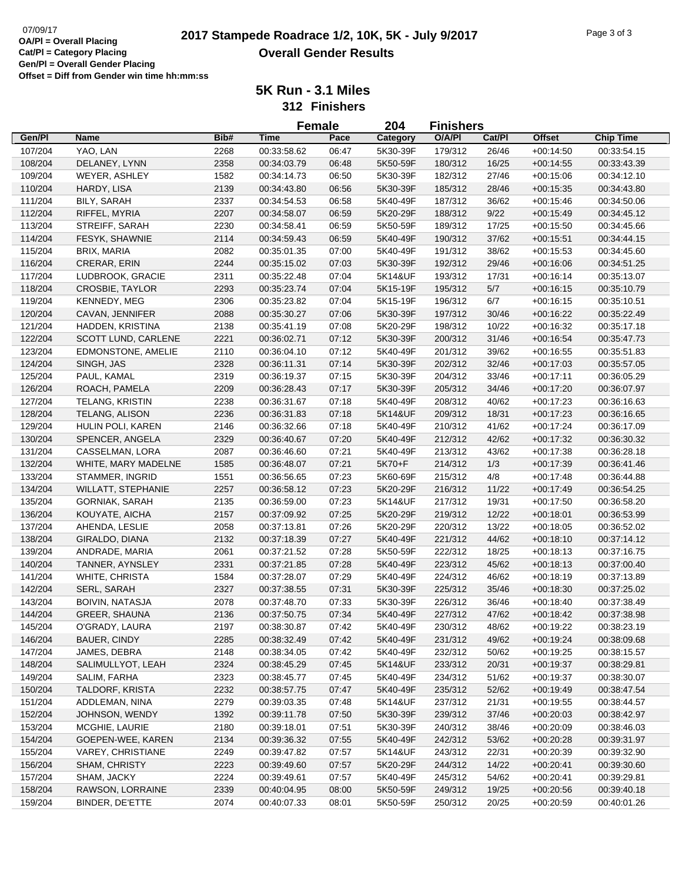# **2017 Stampede Roadrace 1/2, 10K, 5K - July 9/2017** Page 3 of 3 **Overall Gender Results**

|         |                           |      |             | <b>Female</b> | 204      | <b>Finishers</b> |        |               |                            |
|---------|---------------------------|------|-------------|---------------|----------|------------------|--------|---------------|----------------------------|
| Gen/Pl  | <b>Name</b>               | Bib# | <b>Time</b> | Pace          | Category | O/A/PI           | Cat/Pl | <b>Offset</b> | <b>Chip Time</b>           |
| 107/204 | YAO, LAN                  | 2268 | 00:33:58.62 | 06:47         | 5K30-39F | 179/312          | 26/46  | $+00:14:50$   | 00:33:54.15                |
| 108/204 | DELANEY, LYNN             | 2358 | 00:34:03.79 | 06:48         | 5K50-59F | 180/312          | 16/25  | $+00:14:55$   | 00:33:43.39                |
| 109/204 | WEYER, ASHLEY             | 1582 | 00:34:14.73 | 06:50         | 5K30-39F | 182/312          | 27/46  | $+00:15:06$   | 00:34:12.10                |
| 110/204 | HARDY, LISA               | 2139 | 00:34:43.80 | 06:56         | 5K30-39F | 185/312          | 28/46  | $+00:15:35$   | 00:34:43.80                |
| 111/204 | <b>BILY, SARAH</b>        | 2337 | 00:34:54.53 | 06:58         | 5K40-49F | 187/312          | 36/62  | $+00:15:46$   | 00:34:50.06                |
| 112/204 | RIFFEL, MYRIA             | 2207 | 00:34:58.07 | 06:59         | 5K20-29F | 188/312          | 9/22   | $+00:15:49$   | 00:34:45.12                |
| 113/204 | STREIFF, SARAH            | 2230 | 00:34:58.41 | 06:59         | 5K50-59F | 189/312          | 17/25  | $+00:15:50$   | 00:34:45.66                |
| 114/204 | FESYK, SHAWNIE            | 2114 | 00:34:59.43 | 06:59         | 5K40-49F | 190/312          | 37/62  | $+00:15:51$   | 00:34:44.15                |
| 115/204 | BRIX, MARIA               | 2082 | 00:35:01.35 | 07:00         | 5K40-49F | 191/312          | 38/62  | $+00:15:53$   | 00:34:45.60                |
| 116/204 | <b>CRERAR, ERIN</b>       | 2244 | 00:35:15.02 | 07:03         | 5K30-39F | 192/312          | 29/46  | $+00:16:06$   | 00:34:51.25                |
| 117/204 | LUDBROOK, GRACIE          | 2311 | 00:35:22.48 | 07:04         | 5K14&UF  | 193/312          | 17/31  | $+00:16:14$   | 00:35:13.07                |
| 118/204 | CROSBIE, TAYLOR           | 2293 | 00:35:23.74 | 07:04         | 5K15-19F | 195/312          | $5/7$  | $+00:16:15$   | 00:35:10.79                |
| 119/204 | KENNEDY, MEG              | 2306 | 00:35:23.82 | 07:04         | 5K15-19F | 196/312          | 6/7    | $+00:16:15$   | 00:35:10.51                |
| 120/204 | CAVAN, JENNIFER           | 2088 | 00:35:30.27 | 07:06         | 5K30-39F | 197/312          | 30/46  | $+00:16:22$   | 00:35:22.49                |
| 121/204 | HADDEN, KRISTINA          | 2138 | 00:35:41.19 | 07:08         | 5K20-29F | 198/312          | 10/22  | $+00:16:32$   | 00:35:17.18                |
| 122/204 | SCOTT LUND, CARLENE       | 2221 | 00:36:02.71 | 07:12         | 5K30-39F | 200/312          | 31/46  | $+00:16:54$   | 00:35:47.73                |
| 123/204 | EDMONSTONE, AMELIE        | 2110 | 00:36:04.10 | 07:12         | 5K40-49F | 201/312          | 39/62  |               |                            |
|         | SINGH, JAS                | 2328 | 00:36:11.31 | 07:14         | 5K30-39F | 202/312          | 32/46  | $+00:16:55$   | 00:35:51.83<br>00:35:57.05 |
| 124/204 |                           |      |             |               |          |                  |        | $+00:17:03$   |                            |
| 125/204 | PAUL, KAMAL               | 2319 | 00:36:19.37 | 07:15         | 5K30-39F | 204/312          | 33/46  | $+00:17:11$   | 00:36:05.29                |
| 126/204 | ROACH, PAMELA             | 2209 | 00:36:28.43 | 07:17         | 5K30-39F | 205/312          | 34/46  | $+00:17:20$   | 00:36:07.97                |
| 127/204 | <b>TELANG, KRISTIN</b>    | 2238 | 00:36:31.67 | 07:18         | 5K40-49F | 208/312          | 40/62  | $+00:17:23$   | 00:36:16.63                |
| 128/204 | TELANG, ALISON            | 2236 | 00:36:31.83 | 07:18         | 5K14&UF  | 209/312          | 18/31  | $+00:17:23$   | 00:36:16.65                |
| 129/204 | HULIN POLI, KAREN         | 2146 | 00:36:32.66 | 07:18         | 5K40-49F | 210/312          | 41/62  | $+00:17:24$   | 00:36:17.09                |
| 130/204 | SPENCER, ANGELA           | 2329 | 00:36:40.67 | 07:20         | 5K40-49F | 212/312          | 42/62  | $+00:17:32$   | 00:36:30.32                |
| 131/204 | CASSELMAN, LORA           | 2087 | 00:36:46.60 | 07:21         | 5K40-49F | 213/312          | 43/62  | $+00:17:38$   | 00:36:28.18                |
| 132/204 | WHITE, MARY MADELNE       | 1585 | 00:36:48.07 | 07:21         | 5K70+F   | 214/312          | 1/3    | $+00:17:39$   | 00:36:41.46                |
| 133/204 | STAMMER, INGRID           | 1551 | 00:36:56.65 | 07:23         | 5K60-69F | 215/312          | 4/8    | $+00:17:48$   | 00:36:44.88                |
| 134/204 | <b>WILLATT, STEPHANIE</b> | 2257 | 00:36:58.12 | 07:23         | 5K20-29F | 216/312          | 11/22  | $+00:17:49$   | 00:36:54.25                |
| 135/204 | <b>GORNIAK, SARAH</b>     | 2135 | 00:36:59.00 | 07:23         | 5K14&UF  | 217/312          | 19/31  | $+00:17:50$   | 00:36:58.20                |
| 136/204 | KOUYATE, AICHA            | 2157 | 00:37:09.92 | 07:25         | 5K20-29F | 219/312          | 12/22  | $+00:18:01$   | 00:36:53.99                |
| 137/204 | AHENDA, LESLIE            | 2058 | 00:37:13.81 | 07:26         | 5K20-29F | 220/312          | 13/22  | $+00:18:05$   | 00:36:52.02                |
| 138/204 | GIRALDO, DIANA            | 2132 | 00:37:18.39 | 07:27         | 5K40-49F | 221/312          | 44/62  | $+00:18:10$   | 00:37:14.12                |
| 139/204 | ANDRADE, MARIA            | 2061 | 00:37:21.52 | 07:28         | 5K50-59F | 222/312          | 18/25  | $+00:18:13$   | 00:37:16.75                |
| 140/204 | TANNER, AYNSLEY           | 2331 | 00:37:21.85 | 07:28         | 5K40-49F | 223/312          | 45/62  | $+00:18:13$   | 00:37:00.40                |
| 141/204 | WHITE, CHRISTA            | 1584 | 00:37:28.07 | 07:29         | 5K40-49F | 224/312          | 46/62  | $+00:18:19$   | 00:37:13.89                |
| 142/204 | SERL, SARAH               | 2327 | 00:37:38.55 | 07:31         | 5K30-39F | 225/312          | 35/46  | $+00:18:30$   | 00:37:25.02                |
| 143/204 | <b>BOIVIN, NATASJA</b>    | 2078 | 00:37:48.70 | 07:33         | 5K30-39F | 226/312          | 36/46  | $+00:18:40$   | 00:37:38.49                |
| 144/204 | <b>GREER, SHAUNA</b>      | 2136 | 00:37:50.75 | 07:34         | 5K40-49F | 227/312          | 47/62  | $+00:18:42$   | 00:37:38.98                |
| 145/204 | O'GRADY, LAURA            | 2197 | 00:38:30.87 | 07:42         | 5K40-49F | 230/312          | 48/62  | $+00:19:22$   | 00:38:23.19                |
| 146/204 | <b>BAUER, CINDY</b>       | 2285 | 00:38:32.49 | 07:42         | 5K40-49F | 231/312          | 49/62  | $+00:19:24$   | 00:38:09.68                |
| 147/204 | JAMES, DEBRA              | 2148 | 00:38:34.05 | 07:42         | 5K40-49F | 232/312          | 50/62  | $+00:19:25$   | 00:38:15.57                |
| 148/204 | SALIMULLYOT, LEAH         | 2324 | 00:38:45.29 | 07:45         | 5K14&UF  | 233/312          | 20/31  | $+00:19:37$   | 00:38:29.81                |
| 149/204 | SALIM, FARHA              | 2323 | 00:38:45.77 | 07:45         | 5K40-49F | 234/312          | 51/62  | $+00:19:37$   | 00:38:30.07                |
| 150/204 | TALDORF, KRISTA           | 2232 | 00:38:57.75 | 07:47         | 5K40-49F | 235/312          | 52/62  | $+00:19:49$   | 00:38:47.54                |
| 151/204 | ADDLEMAN, NINA            | 2279 | 00:39:03.35 | 07:48         | 5K14&UF  | 237/312          | 21/31  | $+00:19:55$   | 00:38:44.57                |
| 152/204 | JOHNSON, WENDY            | 1392 | 00:39:11.78 | 07:50         | 5K30-39F | 239/312          | 37/46  | $+00:20:03$   | 00:38:42.97                |
| 153/204 | MCGHIE, LAURIE            | 2180 | 00:39:18.01 | 07:51         | 5K30-39F | 240/312          | 38/46  | $+00:20:09$   | 00:38:46.03                |
| 154/204 | GOEPEN-WEE, KAREN         | 2134 | 00:39:36.32 | 07:55         | 5K40-49F | 242/312          | 53/62  | $+00:20:28$   | 00:39:31.97                |
| 155/204 | VAREY, CHRISTIANE         | 2249 | 00:39:47.82 | 07:57         | 5K14&UF  | 243/312          | 22/31  | $+00:20:39$   | 00:39:32.90                |
| 156/204 | SHAM, CHRISTY             | 2223 | 00:39:49.60 | 07:57         | 5K20-29F | 244/312          | 14/22  | $+00:20:41$   | 00:39:30.60                |
| 157/204 | SHAM, JACKY               | 2224 | 00:39:49.61 | 07:57         | 5K40-49F | 245/312          | 54/62  | $+00:20:41$   | 00:39:29.81                |
| 158/204 | RAWSON, LORRAINE          | 2339 | 00:40:04.95 | 08:00         | 5K50-59F | 249/312          | 19/25  | $+00:20:56$   | 00:39:40.18                |
| 159/204 | BINDER, DE'ETTE           | 2074 | 00:40:07.33 | 08:01         | 5K50-59F | 250/312          | 20/25  | $+00:20:59$   | 00:40:01.26                |
|         |                           |      |             |               |          |                  |        |               |                            |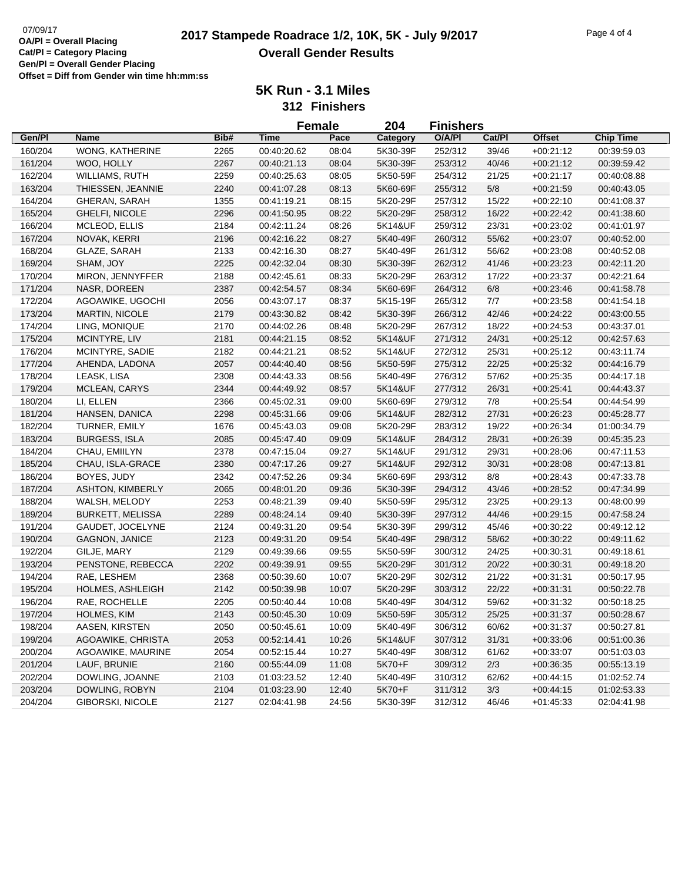# $\frac{07}{09}$   $\frac{2017 \text{ Sample 4 of 4}}{2017 \text{ Sample} 2017}$  **2017 Stampede Roadrace 1/2, 10K, 5K - July 9/2017 Overall Gender Results**

|         |                         |      | <b>Female</b> |       | 204      | <b>Finishers</b> |        |               |                  |
|---------|-------------------------|------|---------------|-------|----------|------------------|--------|---------------|------------------|
| Gen/Pl  | <b>Name</b>             | Bib# | <b>Time</b>   | Pace  | Category | O/A/PI           | Cat/Pl | <b>Offset</b> | <b>Chip Time</b> |
| 160/204 | <b>WONG, KATHERINE</b>  | 2265 | 00:40:20.62   | 08:04 | 5K30-39F | 252/312          | 39/46  | $+00:21:12$   | 00:39:59.03      |
| 161/204 | WOO, HOLLY              | 2267 | 00:40:21.13   | 08:04 | 5K30-39F | 253/312          | 40/46  | $+00:21:12$   | 00:39:59.42      |
| 162/204 | <b>WILLIAMS, RUTH</b>   | 2259 | 00:40:25.63   | 08:05 | 5K50-59F | 254/312          | 21/25  | $+00:21:17$   | 00:40:08.88      |
| 163/204 | THIESSEN, JEANNIE       | 2240 | 00:41:07.28   | 08:13 | 5K60-69F | 255/312          | $5/8$  | $+00:21:59$   | 00:40:43.05      |
| 164/204 | <b>GHERAN, SARAH</b>    | 1355 | 00:41:19.21   | 08:15 | 5K20-29F | 257/312          | 15/22  | $+00:22:10$   | 00:41:08.37      |
| 165/204 | GHELFI, NICOLE          | 2296 | 00:41:50.95   | 08:22 | 5K20-29F | 258/312          | 16/22  | $+00:22:42$   | 00:41:38.60      |
| 166/204 | MCLEOD, ELLIS           | 2184 | 00:42:11.24   | 08:26 | 5K14&UF  | 259/312          | 23/31  | $+00:23:02$   | 00:41:01.97      |
| 167/204 | NOVAK, KERRI            | 2196 | 00:42:16.22   | 08:27 | 5K40-49F | 260/312          | 55/62  | $+00:23:07$   | 00:40:52.00      |
| 168/204 | GLAZE, SARAH            | 2133 | 00:42:16.30   | 08:27 | 5K40-49F | 261/312          | 56/62  | $+00:23:08$   | 00:40:52.08      |
| 169/204 | SHAM, JOY               | 2225 | 00:42:32.04   | 08:30 | 5K30-39F | 262/312          | 41/46  | $+00:23:23$   | 00:42:11.20      |
| 170/204 | MIRON, JENNYFFER        | 2188 | 00:42:45.61   | 08:33 | 5K20-29F | 263/312          | 17/22  | $+00:23:37$   | 00:42:21.64      |
| 171/204 | NASR, DOREEN            | 2387 | 00:42:54.57   | 08:34 | 5K60-69F | 264/312          | $6/8$  | $+00:23:46$   | 00:41:58.78      |
| 172/204 | AGOAWIKE, UGOCHI        | 2056 | 00:43:07.17   | 08:37 | 5K15-19F | 265/312          | 7/7    | $+00:23:58$   | 00:41:54.18      |
| 173/204 | <b>MARTIN, NICOLE</b>   | 2179 | 00:43:30.82   | 08:42 | 5K30-39F | 266/312          | 42/46  | $+00:24:22$   | 00:43:00.55      |
| 174/204 | LING, MONIQUE           | 2170 | 00:44:02.26   | 08:48 | 5K20-29F | 267/312          | 18/22  | $+00:24:53$   | 00:43:37.01      |
| 175/204 | MCINTYRE, LIV           | 2181 | 00:44:21.15   | 08:52 | 5K14&UF  | 271/312          | 24/31  | $+00:25:12$   | 00:42:57.63      |
| 176/204 | MCINTYRE, SADIE         | 2182 | 00:44:21.21   | 08:52 | 5K14&UF  | 272/312          | 25/31  | $+00:25:12$   | 00:43:11.74      |
| 177/204 | AHENDA, LADONA          | 2057 | 00:44:40.40   | 08:56 | 5K50-59F | 275/312          | 22/25  | $+00:25:32$   | 00:44:16.79      |
| 178/204 | LEASK, LISA             | 2308 | 00:44:43.33   | 08:56 | 5K40-49F | 276/312          | 57/62  | $+00:25:35$   | 00:44:17.18      |
| 179/204 | MCLEAN, CARYS           | 2344 | 00:44:49.92   | 08:57 | 5K14&UF  | 277/312          | 26/31  | $+00:25:41$   | 00:44:43.37      |
| 180/204 | LI, ELLEN               | 2366 | 00:45:02.31   | 09:00 | 5K60-69F | 279/312          | 7/8    | $+00:25:54$   | 00:44:54.99      |
| 181/204 | HANSEN, DANICA          | 2298 | 00:45:31.66   | 09:06 | 5K14&UF  | 282/312          | 27/31  | $+00:26:23$   | 00:45:28.77      |
| 182/204 | TURNER, EMILY           | 1676 | 00:45:43.03   | 09:08 | 5K20-29F | 283/312          | 19/22  | $+00:26:34$   | 01:00:34.79      |
| 183/204 | <b>BURGESS, ISLA</b>    | 2085 | 00:45:47.40   | 09:09 | 5K14&UF  | 284/312          | 28/31  | $+00:26:39$   | 00:45:35.23      |
| 184/204 | CHAU, EMIILYN           | 2378 | 00:47:15.04   | 09:27 | 5K14&UF  | 291/312          | 29/31  | $+00:28:06$   | 00:47:11.53      |
| 185/204 | CHAU, ISLA-GRACE        | 2380 | 00:47:17.26   | 09:27 | 5K14&UF  | 292/312          | 30/31  | $+00:28:08$   | 00:47:13.81      |
| 186/204 | BOYES, JUDY             | 2342 | 00:47:52.26   | 09:34 | 5K60-69F | 293/312          | 8/8    | $+00:28:43$   | 00:47:33.78      |
| 187/204 | <b>ASHTON, KIMBERLY</b> | 2065 | 00:48:01.20   | 09:36 | 5K30-39F | 294/312          | 43/46  | $+00:28:52$   | 00:47:34.99      |
| 188/204 | WALSH, MELODY           | 2253 | 00:48:21.39   | 09:40 | 5K50-59F | 295/312          | 23/25  | $+00:29:13$   | 00:48:00.99      |
| 189/204 | <b>BURKETT, MELISSA</b> | 2289 | 00:48:24.14   | 09:40 | 5K30-39F | 297/312          | 44/46  | $+00:29:15$   | 00:47:58.24      |
| 191/204 | GAUDET, JOCELYNE        | 2124 | 00:49:31.20   | 09:54 | 5K30-39F | 299/312          | 45/46  | $+00:30:22$   | 00:49:12.12      |
| 190/204 | <b>GAGNON, JANICE</b>   | 2123 | 00:49:31.20   | 09:54 | 5K40-49F | 298/312          | 58/62  | $+00:30:22$   | 00:49:11.62      |
| 192/204 | GILJE, MARY             | 2129 | 00:49:39.66   | 09:55 | 5K50-59F | 300/312          | 24/25  | $+00:30:31$   | 00:49:18.61      |
| 193/204 | PENSTONE, REBECCA       | 2202 | 00:49:39.91   | 09:55 | 5K20-29F | 301/312          | 20/22  | $+00:30:31$   | 00:49:18.20      |
| 194/204 | RAE, LESHEM             | 2368 | 00:50:39.60   | 10:07 | 5K20-29F | 302/312          | 21/22  | $+00:31:31$   | 00:50:17.95      |
| 195/204 | <b>HOLMES, ASHLEIGH</b> | 2142 | 00:50:39.98   | 10:07 | 5K20-29F | 303/312          | 22/22  | $+00:31:31$   | 00:50:22.78      |
| 196/204 | RAE, ROCHELLE           | 2205 | 00:50:40.44   | 10:08 | 5K40-49F | 304/312          | 59/62  | $+00:31:32$   | 00:50:18.25      |
| 197/204 | HOLMES, KIM             | 2143 | 00:50:45.30   | 10:09 | 5K50-59F | 305/312          | 25/25  | $+00:31:37$   | 00:50:28.67      |
| 198/204 | AASEN, KIRSTEN          | 2050 | 00:50:45.61   | 10:09 | 5K40-49F | 306/312          | 60/62  | $+00:31:37$   | 00:50:27.81      |
| 199/204 | AGOAWIKE, CHRISTA       | 2053 | 00:52:14.41   | 10:26 | 5K14&UF  | 307/312          | 31/31  | $+00:33:06$   | 00:51:00.36      |
| 200/204 | AGOAWIKE, MAURINE       | 2054 | 00:52:15.44   | 10:27 | 5K40-49F | 308/312          | 61/62  | $+00:33:07$   | 00:51:03.03      |
| 201/204 | LAUF, BRUNIE            | 2160 | 00:55:44.09   | 11:08 | 5K70+F   | 309/312          | 2/3    | $+00:36:35$   | 00:55:13.19      |
| 202/204 | DOWLING, JOANNE         | 2103 | 01:03:23.52   | 12:40 | 5K40-49F | 310/312          | 62/62  | $+00:44:15$   | 01:02:52.74      |
| 203/204 | DOWLING, ROBYN          | 2104 | 01:03:23.90   | 12:40 | 5K70+F   | 311/312          | 3/3    | $+00:44:15$   | 01:02:53.33      |
| 204/204 | GIBORSKI, NICOLE        | 2127 | 02:04:41.98   | 24:56 | 5K30-39F | 312/312          | 46/46  | $+01:45:33$   | 02:04:41.98      |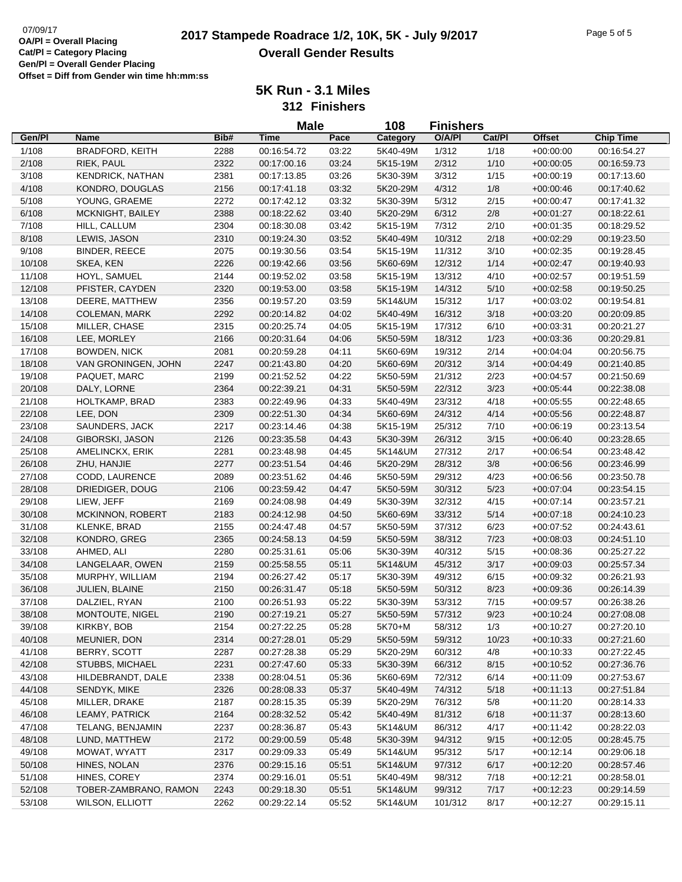# 07/09/17<br>**2017 Stampede Roadrace 1/2, 10K, 5K - July 9/2017** Page 5 of 5 **Overall Gender Results**

**5K Run - 3.1 Miles**

**312 Finishers**

|        |                         |      | <b>Male</b> |       | 108      | <b>Finishers</b> |        |               |                  |
|--------|-------------------------|------|-------------|-------|----------|------------------|--------|---------------|------------------|
| Gen/Pl | <b>Name</b>             | Bib# | <b>Time</b> | Pace  | Category | O/A/PI           | Cat/PI | <b>Offset</b> | <b>Chip Time</b> |
| 1/108  | <b>BRADFORD, KEITH</b>  | 2288 | 00:16:54.72 | 03:22 | 5K40-49M | 1/312            | 1/18   | $+00:00:00$   | 00:16:54.27      |
| 2/108  | RIEK, PAUL              | 2322 | 00:17:00.16 | 03:24 | 5K15-19M | 2/312            | 1/10   | $+00:00:05$   | 00:16:59.73      |
| 3/108  | <b>KENDRICK, NATHAN</b> | 2381 | 00:17:13.85 | 03:26 | 5K30-39M | 3/312            | 1/15   | $+00:00:19$   | 00:17:13.60      |
| 4/108  | KONDRO, DOUGLAS         | 2156 | 00:17:41.18 | 03:32 | 5K20-29M | 4/312            | 1/8    | $+00:00:46$   | 00:17:40.62      |
| 5/108  | YOUNG, GRAEME           | 2272 | 00:17:42.12 | 03:32 | 5K30-39M | 5/312            | 2/15   | $+00:00:47$   | 00:17:41.32      |
| 6/108  | MCKNIGHT, BAILEY        | 2388 | 00:18:22.62 | 03:40 | 5K20-29M | 6/312            | 2/8    | $+00:01:27$   | 00:18:22.61      |
| 7/108  | HILL, CALLUM            | 2304 | 00:18:30.08 | 03:42 | 5K15-19M | 7/312            | 2/10   | $+00:01:35$   | 00:18:29.52      |
| 8/108  | LEWIS, JASON            | 2310 | 00:19:24.30 | 03:52 | 5K40-49M | 10/312           | 2/18   | $+00:02:29$   | 00:19:23.50      |
| 9/108  | BINDER, REECE           | 2075 | 00:19:30.56 | 03:54 | 5K15-19M | 11/312           | 3/10   | $+00:02:35$   | 00:19:28.45      |
| 10/108 | SKEA, KEN               | 2226 | 00:19:42.66 | 03:56 | 5K60-69M | 12/312           | 1/14   | $+00:02:47$   | 00:19:40.93      |
| 11/108 | HOYL, SAMUEL            | 2144 | 00:19:52.02 | 03:58 | 5K15-19M | 13/312           | 4/10   | $+00:02:57$   | 00:19:51.59      |
| 12/108 | PFISTER, CAYDEN         | 2320 | 00:19:53.00 | 03:58 | 5K15-19M | 14/312           | 5/10   | $+00:02:58$   | 00:19:50.25      |
| 13/108 | DEERE, MATTHEW          | 2356 | 00:19:57.20 | 03:59 | 5K14&UM  | 15/312           | 1/17   | $+00:03:02$   | 00:19:54.81      |
| 14/108 | COLEMAN, MARK           | 2292 | 00:20:14.82 | 04:02 | 5K40-49M | 16/312           | 3/18   | $+00:03:20$   | 00:20:09.85      |
| 15/108 | MILLER, CHASE           | 2315 | 00:20:25.74 | 04:05 | 5K15-19M | 17/312           | 6/10   | $+00:03:31$   | 00:20:21.27      |
| 16/108 | LEE, MORLEY             | 2166 | 00:20:31.64 | 04:06 | 5K50-59M | 18/312           | 1/23   | $+00:03:36$   | 00:20:29.81      |
| 17/108 | <b>BOWDEN, NICK</b>     | 2081 | 00:20:59.28 | 04:11 | 5K60-69M | 19/312           | 2/14   | $+00:04:04$   | 00:20:56.75      |
| 18/108 | VAN GRONINGEN, JOHN     | 2247 | 00:21:43.80 | 04:20 | 5K60-69M | 20/312           | 3/14   | $+00:04:49$   | 00:21:40.85      |
| 19/108 | PAQUET, MARC            | 2199 | 00:21:52.52 | 04:22 | 5K50-59M | 21/312           | 2/23   | $+00:04:57$   | 00:21:50.69      |
| 20/108 | DALY, LORNE             | 2364 | 00:22:39.21 | 04:31 | 5K50-59M | 22/312           | 3/23   | $+00:05:44$   | 00:22:38.08      |
| 21/108 | HOLTKAMP, BRAD          | 2383 | 00:22:49.96 | 04:33 | 5K40-49M | 23/312           | 4/18   | $+00:05:55$   | 00:22:48.65      |
| 22/108 | LEE, DON                | 2309 | 00:22:51.30 | 04:34 | 5K60-69M | 24/312           | 4/14   | $+00:05:56$   | 00:22:48.87      |
| 23/108 | SAUNDERS, JACK          | 2217 | 00:23:14.46 | 04:38 | 5K15-19M | 25/312           | 7/10   | $+00:06:19$   | 00:23:13.54      |
| 24/108 | GIBORSKI, JASON         | 2126 | 00:23:35.58 | 04:43 | 5K30-39M | 26/312           | 3/15   | $+00:06:40$   | 00:23:28.65      |
| 25/108 | AMELINCKX, ERIK         | 2281 | 00:23:48.98 | 04:45 | 5K14&UM  | 27/312           | 2/17   | $+00:06:54$   | 00:23:48.42      |
| 26/108 | ZHU, HANJIE             | 2277 | 00:23:51.54 | 04:46 | 5K20-29M | 28/312           | 3/8    | $+00:06:56$   | 00:23:46.99      |
| 27/108 | CODD, LAURENCE          | 2089 | 00:23:51.62 | 04:46 | 5K50-59M | 29/312           | 4/23   | $+00:06:56$   | 00:23:50.78      |
| 28/108 | DRIEDIGER, DOUG         | 2106 | 00:23:59.42 | 04:47 | 5K50-59M | 30/312           | 5/23   | $+00:07:04$   | 00:23:54.15      |
| 29/108 | LIEW, JEFF              | 2169 | 00:24:08.98 | 04:49 | 5K30-39M | 32/312           | 4/15   | $+00:07:14$   | 00:23:57.21      |
| 30/108 | <b>MCKINNON, ROBERT</b> | 2183 | 00:24:12.98 | 04:50 | 5K60-69M | 33/312           | 5/14   | $+00:07:18$   | 00:24:10.23      |
| 31/108 | KLENKE, BRAD            | 2155 | 00:24:47.48 | 04:57 | 5K50-59M | 37/312           | 6/23   | $+00:07:52$   | 00:24:43.61      |
| 32/108 | KONDRO, GREG            | 2365 | 00:24:58.13 | 04:59 | 5K50-59M | 38/312           | 7/23   | $+00:08:03$   | 00:24:51.10      |
| 33/108 | AHMED, ALI              | 2280 | 00:25:31.61 | 05:06 | 5K30-39M | 40/312           | 5/15   | $+00:08:36$   | 00:25:27.22      |
| 34/108 | LANGELAAR, OWEN         | 2159 | 00:25:58.55 | 05:11 | 5K14&UM  | 45/312           | 3/17   | $+00:09:03$   | 00:25:57.34      |
| 35/108 | MURPHY, WILLIAM         | 2194 | 00:26:27.42 | 05:17 | 5K30-39M | 49/312           | 6/15   | $+00:09:32$   | 00:26:21.93      |
| 36/108 | JULIEN, BLAINE          | 2150 | 00:26:31.47 | 05:18 | 5K50-59M | 50/312           | 8/23   | $+00:09:36$   | 00:26:14.39      |
| 37/108 | DALZIEL, RYAN           | 2100 | 00:26:51.93 | 05:22 | 5K30-39M | 53/312           | 7/15   | $+00:09:57$   | 00:26:38.26      |
| 38/108 | MONTOUTE, NIGEL         | 2190 | 00:27:19.21 | 05:27 | 5K50-59M | 57/312           | 9/23   | $+00:10:24$   | 00:27:08.08      |
| 39/108 | KIRKBY, BOB             | 2154 | 00:27:22.25 | 05:28 | 5K70+M   | 58/312           | 1/3    | $+00:10:27$   | 00:27:20.10      |
| 40/108 | MEUNIER, DON            | 2314 | 00:27:28.01 | 05:29 | 5K50-59M | 59/312           | 10/23  | $+00:10:33$   | 00:27:21.60      |
| 41/108 | BERRY, SCOTT            | 2287 | 00:27:28.38 | 05:29 | 5K20-29M | 60/312           | 4/8    | $+00:10:33$   | 00:27:22.45      |
| 42/108 | STUBBS, MICHAEL         | 2231 | 00:27:47.60 | 05:33 | 5K30-39M | 66/312           | 8/15   | $+00:10:52$   | 00:27:36.76      |
| 43/108 | HILDEBRANDT, DALE       | 2338 | 00:28:04.51 | 05:36 | 5K60-69M | 72/312           | 6/14   | $+00:11:09$   | 00:27:53.67      |
| 44/108 | SENDYK, MIKE            | 2326 | 00:28:08.33 | 05:37 | 5K40-49M | 74/312           | 5/18   | $+00:11:13$   | 00:27:51.84      |
| 45/108 | MILLER, DRAKE           | 2187 | 00:28:15.35 | 05:39 | 5K20-29M | 76/312           | 5/8    | $+00:11:20$   | 00:28:14.33      |
| 46/108 | LEAMY, PATRICK          | 2164 | 00:28:32.52 | 05:42 | 5K40-49M | 81/312           | 6/18   | $+00:11:37$   | 00:28:13.60      |
| 47/108 | TELANG, BENJAMIN        | 2237 | 00:28:36.87 | 05:43 | 5K14&UM  | 86/312           | 4/17   | $+00:11:42$   | 00:28:22.03      |
| 48/108 | LUND, MATTHEW           | 2172 | 00:29:00.59 | 05:48 | 5K30-39M | 94/312           | 9/15   | $+00:12:05$   | 00:28:45.75      |
| 49/108 | MOWAT, WYATT            | 2317 | 00:29:09.33 | 05:49 | 5K14&UM  | 95/312           | 5/17   | $+00:12:14$   | 00:29:06.18      |
| 50/108 | HINES, NOLAN            | 2376 | 00:29:15.16 | 05:51 | 5K14&UM  | 97/312           | 6/17   | $+00:12:20$   | 00:28:57.46      |
| 51/108 | HINES, COREY            | 2374 | 00:29:16.01 | 05:51 | 5K40-49M | 98/312           | 7/18   | $+00:12:21$   | 00:28:58.01      |
| 52/108 | TOBER-ZAMBRANO, RAMON   | 2243 | 00:29:18.30 | 05:51 | 5K14&UM  | 99/312           | 7/17   | $+00:12:23$   | 00:29:14.59      |
| 53/108 | <b>WILSON, ELLIOTT</b>  | 2262 | 00:29:22.14 | 05:52 | 5K14&UM  | 101/312          | 8/17   | $+00:12:27$   | 00:29:15.11      |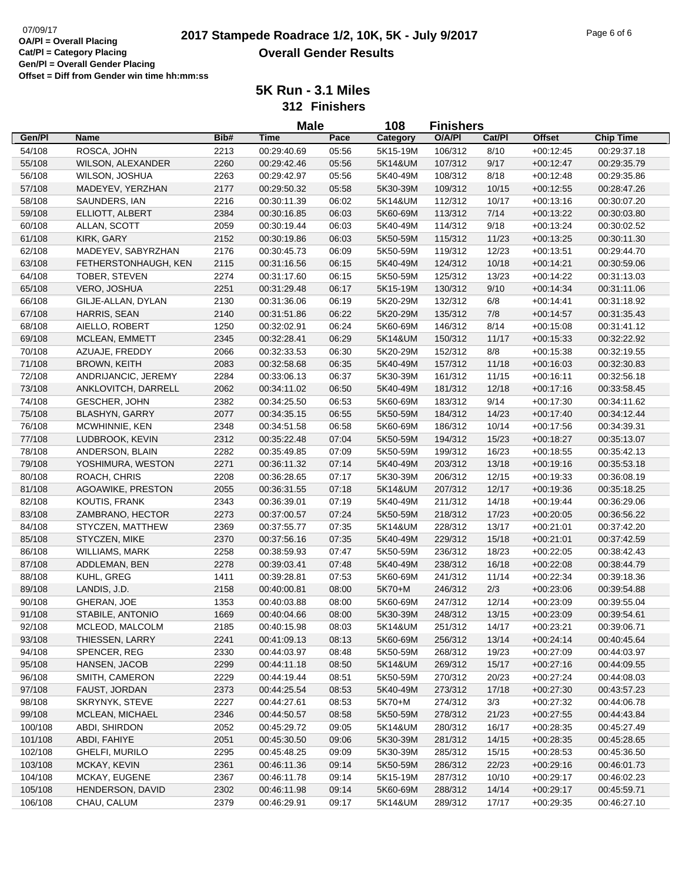# 07/09/17<br>**QA/PI - Overall Placing 2017 Stampede Roadrace 1/2, 10K, 5K - July 9/2017** Page 6 of 6 **Overall Gender Results**

**5K Run - 3.1 Miles**

**312 Finishers**

|         |                       |      | <b>Male</b> |       | 108      | <b>Finishers</b> |        |               |                  |
|---------|-----------------------|------|-------------|-------|----------|------------------|--------|---------------|------------------|
| Gen/Pl  | <b>Name</b>           | Bib# | <b>Time</b> | Pace  | Category | O/A/PI           | Cat/PI | <b>Offset</b> | <b>Chip Time</b> |
| 54/108  | ROSCA, JOHN           | 2213 | 00:29:40.69 | 05:56 | 5K15-19M | 106/312          | 8/10   | $+00:12:45$   | 00:29:37.18      |
| 55/108  | WILSON, ALEXANDER     | 2260 | 00:29:42.46 | 05:56 | 5K14&UM  | 107/312          | 9/17   | $+00:12:47$   | 00:29:35.79      |
| 56/108  | WILSON, JOSHUA        | 2263 | 00:29:42.97 | 05:56 | 5K40-49M | 108/312          | 8/18   | $+00:12:48$   | 00:29:35.86      |
| 57/108  | MADEYEV, YERZHAN      | 2177 | 00:29:50.32 | 05:58 | 5K30-39M | 109/312          | 10/15  | $+00:12:55$   | 00:28:47.26      |
| 58/108  | SAUNDERS, IAN         | 2216 | 00:30:11.39 | 06:02 | 5K14&UM  | 112/312          | 10/17  | $+00:13:16$   | 00:30:07.20      |
| 59/108  | ELLIOTT, ALBERT       | 2384 | 00:30:16.85 | 06:03 | 5K60-69M | 113/312          | 7/14   | $+00:13:22$   | 00:30:03.80      |
| 60/108  | ALLAN, SCOTT          | 2059 | 00:30:19.44 | 06:03 | 5K40-49M | 114/312          | 9/18   | $+00:13:24$   | 00:30:02.52      |
| 61/108  | KIRK, GARY            | 2152 | 00:30:19.86 | 06:03 | 5K50-59M | 115/312          | 11/23  | $+00:13:25$   | 00:30:11.30      |
| 62/108  | MADEYEV, SABYRZHAN    | 2176 | 00:30:45.73 | 06:09 | 5K50-59M | 119/312          | 12/23  | $+00:13:51$   | 00:29:44.70      |
| 63/108  | FETHERSTONHAUGH, KEN  | 2115 | 00:31:16.56 | 06:15 | 5K40-49M | 124/312          | 10/18  | $+00:14:21$   | 00:30:59.06      |
| 64/108  | TOBER, STEVEN         | 2274 | 00:31:17.60 | 06:15 | 5K50-59M | 125/312          | 13/23  | $+00:14:22$   | 00:31:13.03      |
| 65/108  | VERO, JOSHUA          | 2251 | 00:31:29.48 | 06:17 | 5K15-19M | 130/312          | 9/10   | $+00:14:34$   | 00:31:11.06      |
| 66/108  | GILJE-ALLAN, DYLAN    | 2130 | 00:31:36.06 | 06:19 | 5K20-29M | 132/312          | 6/8    | $+00:14:41$   | 00:31:18.92      |
| 67/108  | HARRIS, SEAN          | 2140 | 00:31:51.86 | 06:22 | 5K20-29M | 135/312          | 7/8    | $+00:14:57$   | 00:31:35.43      |
| 68/108  | AIELLO, ROBERT        | 1250 | 00:32:02.91 | 06:24 | 5K60-69M | 146/312          | 8/14   | $+00:15:08$   | 00:31:41.12      |
| 69/108  | MCLEAN, EMMETT        | 2345 | 00:32:28.41 | 06:29 | 5K14&UM  | 150/312          | 11/17  | $+00:15:33$   | 00:32:22.92      |
| 70/108  | AZUAJE, FREDDY        | 2066 | 00:32:33.53 | 06:30 | 5K20-29M | 152/312          | 8/8    | $+00:15:38$   | 00:32:19.55      |
| 71/108  | <b>BROWN, KEITH</b>   | 2083 | 00:32:58.68 | 06:35 | 5K40-49M | 157/312          | 11/18  | $+00:16:03$   | 00:32:30.83      |
| 72/108  | ANDRIJANCIC, JEREMY   | 2284 | 00:33:06.13 | 06:37 | 5K30-39M | 161/312          | 11/15  | $+00:16:11$   | 00:32:56.18      |
| 73/108  | ANKLOVITCH, DARRELL   | 2062 | 00:34:11.02 | 06:50 | 5K40-49M | 181/312          | 12/18  | $+00:17:16$   | 00:33:58.45      |
| 74/108  | <b>GESCHER, JOHN</b>  | 2382 | 00:34:25.50 | 06:53 | 5K60-69M | 183/312          | 9/14   | $+00:17:30$   | 00:34:11.62      |
| 75/108  | <b>BLASHYN, GARRY</b> | 2077 | 00:34:35.15 | 06:55 | 5K50-59M | 184/312          | 14/23  | $+00.17.40$   | 00:34:12.44      |
| 76/108  | MCWHINNIE, KEN        | 2348 | 00:34:51.58 | 06:58 | 5K60-69M | 186/312          | 10/14  | $+00:17:56$   | 00:34:39.31      |
| 77/108  | LUDBROOK, KEVIN       | 2312 | 00:35:22.48 | 07:04 | 5K50-59M | 194/312          | 15/23  | $+00:18:27$   | 00:35:13.07      |
| 78/108  | ANDERSON, BLAIN       | 2282 | 00:35:49.85 | 07:09 | 5K50-59M | 199/312          | 16/23  | $+00:18:55$   | 00:35:42.13      |
| 79/108  | YOSHIMURA, WESTON     | 2271 | 00:36:11.32 | 07:14 | 5K40-49M | 203/312          | 13/18  | $+00:19:16$   | 00:35:53.18      |
| 80/108  | ROACH, CHRIS          | 2208 | 00:36:28.65 | 07:17 | 5K30-39M | 206/312          | 12/15  | $+00:19:33$   | 00:36:08.19      |
| 81/108  | AGOAWIKE, PRESTON     | 2055 | 00:36:31.55 | 07:18 | 5K14&UM  | 207/312          | 12/17  | $+00:19:36$   | 00:35:18.25      |
| 82/108  | KOUTIS, FRANK         | 2343 | 00:36:39.01 | 07:19 | 5K40-49M | 211/312          | 14/18  | $+00:19:44$   | 00:36:29.06      |
| 83/108  | ZAMBRANO, HECTOR      | 2273 | 00:37:00.57 | 07:24 | 5K50-59M | 218/312          | 17/23  | $+00:20:05$   | 00:36:56.22      |
| 84/108  | STYCZEN, MATTHEW      | 2369 | 00:37:55.77 | 07:35 | 5K14&UM  | 228/312          | 13/17  | $+00:21:01$   | 00:37:42.20      |
| 85/108  | STYCZEN, MIKE         | 2370 | 00:37:56.16 | 07:35 | 5K40-49M | 229/312          | 15/18  | $+00:21:01$   | 00:37:42.59      |
| 86/108  | <b>WILLIAMS, MARK</b> | 2258 | 00:38:59.93 | 07:47 | 5K50-59M | 236/312          | 18/23  | $+00:22:05$   | 00:38:42.43      |
| 87/108  | ADDLEMAN, BEN         | 2278 | 00:39:03.41 | 07:48 | 5K40-49M | 238/312          | 16/18  | $+00:22:08$   | 00:38:44.79      |
| 88/108  | KUHL, GREG            | 1411 | 00:39:28.81 | 07:53 | 5K60-69M | 241/312          | 11/14  | $+00:22:34$   | 00:39:18.36      |
| 89/108  | LANDIS, J.D.          | 2158 | 00:40:00.81 | 08:00 | 5K70+M   | 246/312          | 2/3    | $+00:23:06$   | 00:39:54.88      |
| 90/108  | GHERAN, JOE           | 1353 | 00:40:03.88 | 08:00 | 5K60-69M | 247/312          | 12/14  | $+00:23:09$   | 00:39:55.04      |
| 91/108  | STABILE, ANTONIO      | 1669 | 00:40:04.66 | 08:00 | 5K30-39M | 248/312          | 13/15  | $+00:23:09$   | 00:39:54.61      |
| 92/108  | MCLEOD, MALCOLM       | 2185 | 00:40:15.98 | 08:03 | 5K14&UM  | 251/312          | 14/17  | $+00:23:21$   | 00:39:06.71      |
| 93/108  | THIESSEN, LARRY       | 2241 | 00:41:09.13 | 08:13 | 5K60-69M | 256/312          | 13/14  | $+00.24:14$   | 00:40:45.64      |
| 94/108  | SPENCER, REG          | 2330 | 00:44:03.97 | 08:48 | 5K50-59M | 268/312          | 19/23  | $+00:27:09$   | 00:44:03.97      |
| 95/108  | HANSEN, JACOB         | 2299 | 00:44:11.18 | 08:50 | 5K14&UM  | 269/312          | 15/17  | $+00:27:16$   | 00:44:09.55      |
| 96/108  | SMITH, CAMERON        | 2229 | 00:44:19.44 | 08:51 | 5K50-59M | 270/312          | 20/23  | $+00:27:24$   | 00:44:08.03      |
| 97/108  | FAUST, JORDAN         | 2373 | 00:44:25.54 | 08:53 | 5K40-49M | 273/312          | 17/18  | $+00:27:30$   | 00:43:57.23      |
| 98/108  | SKRYNYK, STEVE        | 2227 | 00:44:27.61 | 08:53 | 5K70+M   | 274/312          | 3/3    | $+00:27:32$   | 00:44:06.78      |
| 99/108  | MCLEAN, MICHAEL       | 2346 | 00:44:50.57 | 08:58 | 5K50-59M | 278/312          | 21/23  | $+00:27:55$   | 00:44:43.84      |
| 100/108 | ABDI, SHIRDON         | 2052 | 00:45:29.72 | 09:05 | 5K14&UM  | 280/312          | 16/17  | $+00:28:35$   | 00:45:27.49      |
| 101/108 | ABDI, FAHIYE          | 2051 | 00:45:30.50 | 09:06 | 5K30-39M | 281/312          | 14/15  | $+00:28:35$   | 00:45:28.65      |
| 102/108 | GHELFI, MURILO        | 2295 | 00:45:48.25 | 09:09 | 5K30-39M | 285/312          | 15/15  | $+00:28:53$   | 00:45:36.50      |
| 103/108 | MCKAY, KEVIN          | 2361 | 00:46:11.36 | 09:14 | 5K50-59M | 286/312          | 22/23  | $+00:29:16$   | 00:46:01.73      |
| 104/108 | MCKAY, EUGENE         | 2367 | 00:46:11.78 | 09:14 | 5K15-19M | 287/312          | 10/10  | $+00:29:17$   | 00:46:02.23      |
| 105/108 | HENDERSON, DAVID      | 2302 | 00:46:11.98 | 09:14 | 5K60-69M | 288/312          | 14/14  | $+00:29:17$   | 00:45:59.71      |
| 106/108 | CHAU, CALUM           | 2379 | 00:46:29.91 | 09:17 | 5K14&UM  | 289/312          | 17/17  | $+00:29:35$   | 00:46:27.10      |